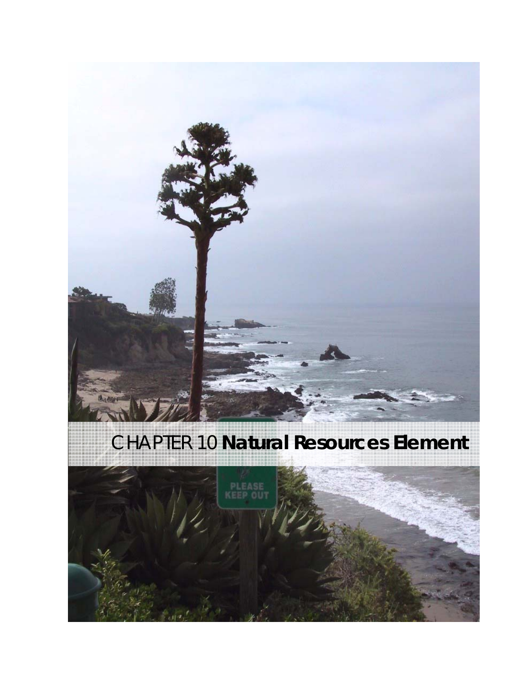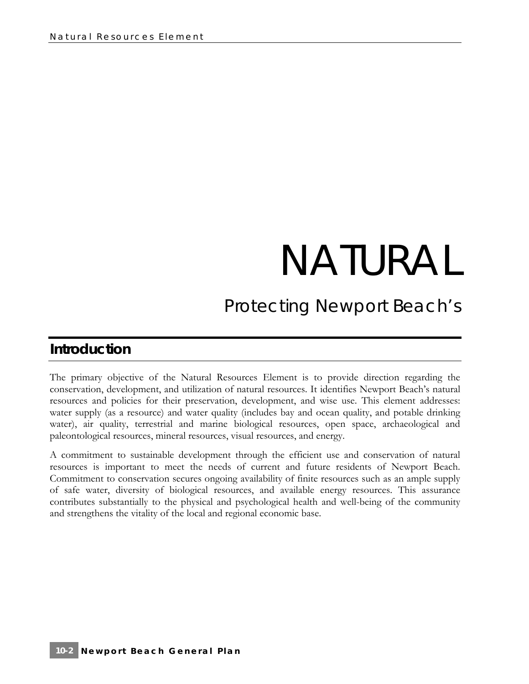# NATURAL

# *Protecting Newport Beach's*

# **Introduction**

The primary objective of the Natural Resources Element is to provide direction regarding the conservation, development, and utilization of natural resources. It identifies Newport Beach's natural resources and policies for their preservation, development, and wise use. This element addresses: water supply (as a resource) and water quality (includes bay and ocean quality, and potable drinking water), air quality, terrestrial and marine biological resources, open space, archaeological and paleontological resources, mineral resources, visual resources, and energy.

A commitment to sustainable development through the efficient use and conservation of natural resources is important to meet the needs of current and future residents of Newport Beach. Commitment to conservation secures ongoing availability of finite resources such as an ample supply of safe water, diversity of biological resources, and available energy resources. This assurance contributes substantially to the physical and psychological health and well-being of the community and strengthens the vitality of the local and regional economic base.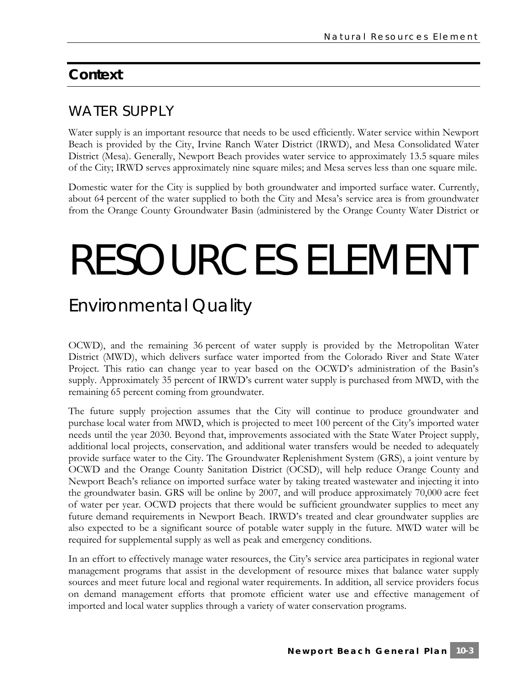# **Context**

# WATER SUPPLY

Water supply is an important resource that needs to be used efficiently. Water service within Newport Beach is provided by the City, Irvine Ranch Water District (IRWD), and Mesa Consolidated Water District (Mesa). Generally, Newport Beach provides water service to approximately 13.5 square miles of the City; IRWD serves approximately nine square miles; and Mesa serves less than one square mile.

Domestic water for the City is supplied by both groundwater and imported surface water. Currently, about 64 percent of the water supplied to both the City and Mesa's service area is from groundwater from the Orange County Groundwater Basin (administered by the Orange County Water District or

# RESOURCES ELEMENT

# *Environmental Quality*

OCWD), and the remaining 36 percent of water supply is provided by the Metropolitan Water District (MWD), which delivers surface water imported from the Colorado River and State Water Project. This ratio can change year to year based on the OCWD's administration of the Basin's supply. Approximately 35 percent of IRWD's current water supply is purchased from MWD, with the remaining 65 percent coming from groundwater.

The future supply projection assumes that the City will continue to produce groundwater and purchase local water from MWD, which is projected to meet 100 percent of the City's imported water needs until the year 2030. Beyond that, improvements associated with the State Water Project supply, additional local projects, conservation, and additional water transfers would be needed to adequately provide surface water to the City. The Groundwater Replenishment System (GRS), a joint venture by OCWD and the Orange County Sanitation District (OCSD), will help reduce Orange County and Newport Beach's reliance on imported surface water by taking treated wastewater and injecting it into the groundwater basin. GRS will be online by 2007, and will produce approximately 70,000 acre feet of water per year. OCWD projects that there would be sufficient groundwater supplies to meet any future demand requirements in Newport Beach. IRWD's treated and clear groundwater supplies are also expected to be a significant source of potable water supply in the future. MWD water will be required for supplemental supply as well as peak and emergency conditions.

In an effort to effectively manage water resources, the City's service area participates in regional water management programs that assist in the development of resource mixes that balance water supply sources and meet future local and regional water requirements. In addition, all service providers focus on demand management efforts that promote efficient water use and effective management of imported and local water supplies through a variety of water conservation programs.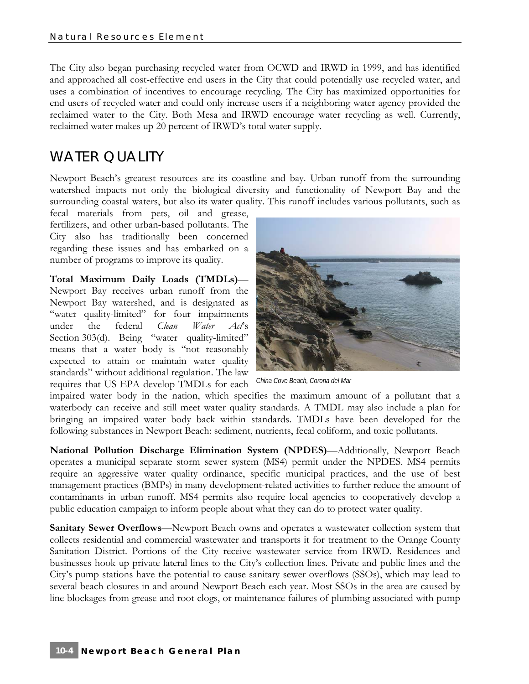The City also began purchasing recycled water from OCWD and IRWD in 1999, and has identified and approached all cost-effective end users in the City that could potentially use recycled water, and uses a combination of incentives to encourage recycling. The City has maximized opportunities for end users of recycled water and could only increase users if a neighboring water agency provided the reclaimed water to the City. Both Mesa and IRWD encourage water recycling as well. Currently, reclaimed water makes up 20 percent of IRWD's total water supply.

# WATER QUALITY

Newport Beach's greatest resources are its coastline and bay. Urban runoff from the surrounding watershed impacts not only the biological diversity and functionality of Newport Bay and the surrounding coastal waters, but also its water quality. This runoff includes various pollutants, such as

fecal materials from pets, oil and grease, fertilizers, and other urban-based pollutants. The City also has traditionally been concerned regarding these issues and has embarked on a number of programs to improve its quality.

**Total Maximum Daily Loads (TMDLs)**—

Newport Bay receives urban runoff from the Newport Bay watershed, and is designated as "water quality-limited" for four impairments under the federal *Clean Water Act*'s Section 303(d). Being "water quality-limited" means that a water body is "not reasonably expected to attain or maintain water quality standards" without additional regulation. The law requires that US EPA develop TMDLs for each



*China Cove Beach, Corona del Mar* 

impaired water body in the nation, which specifies the maximum amount of a pollutant that a waterbody can receive and still meet water quality standards. A TMDL may also include a plan for bringing an impaired water body back within standards. TMDLs have been developed for the following substances in Newport Beach: sediment, nutrients, fecal coliform, and toxic pollutants.

**National Pollution Discharge Elimination System (NPDES)**—Additionally, Newport Beach operates a municipal separate storm sewer system (MS4) permit under the NPDES. MS4 permits require an aggressive water quality ordinance, specific municipal practices, and the use of best management practices (BMPs) in many development-related activities to further reduce the amount of contaminants in urban runoff. MS4 permits also require local agencies to cooperatively develop a public education campaign to inform people about what they can do to protect water quality.

**Sanitary Sewer Overflows—Newport Beach owns and operates a wastewater collection system that** collects residential and commercial wastewater and transports it for treatment to the Orange County Sanitation District. Portions of the City receive wastewater service from IRWD. Residences and businesses hook up private lateral lines to the City's collection lines. Private and public lines and the City's pump stations have the potential to cause sanitary sewer overflows (SSOs), which may lead to several beach closures in and around Newport Beach each year. Most SSOs in the area are caused by line blockages from grease and root clogs, or maintenance failures of plumbing associated with pump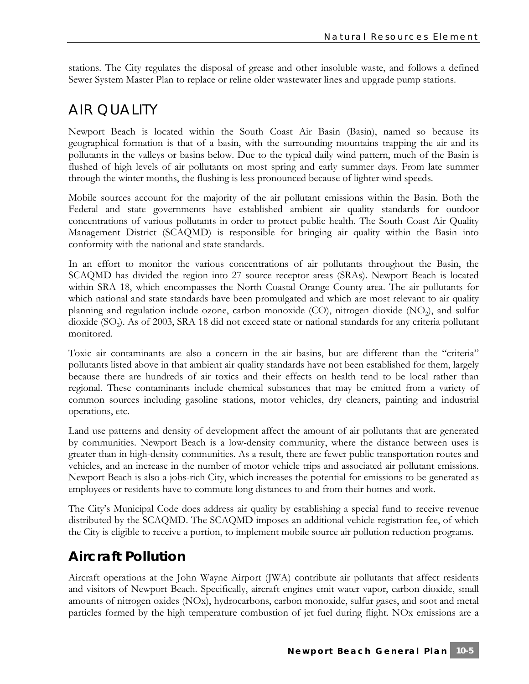stations. The City regulates the disposal of grease and other insoluble waste, and follows a defined Sewer System Master Plan to replace or reline older wastewater lines and upgrade pump stations.

# AIR QUALITY

Newport Beach is located within the South Coast Air Basin (Basin), named so because its geographical formation is that of a basin, with the surrounding mountains trapping the air and its pollutants in the valleys or basins below. Due to the typical daily wind pattern, much of the Basin is flushed of high levels of air pollutants on most spring and early summer days. From late summer through the winter months, the flushing is less pronounced because of lighter wind speeds.

Mobile sources account for the majority of the air pollutant emissions within the Basin. Both the Federal and state governments have established ambient air quality standards for outdoor concentrations of various pollutants in order to protect public health. The South Coast Air Quality Management District (SCAQMD) is responsible for bringing air quality within the Basin into conformity with the national and state standards.

In an effort to monitor the various concentrations of air pollutants throughout the Basin, the SCAQMD has divided the region into 27 source receptor areas (SRAs). Newport Beach is located within SRA 18, which encompasses the North Coastal Orange County area. The air pollutants for which national and state standards have been promulgated and which are most relevant to air quality planning and regulation include ozone, carbon monoxide (CO), nitrogen dioxide (NO<sub>2</sub>), and sulfur dioxide (SO<sub>2</sub>). As of 2003, SRA 18 did not exceed state or national standards for any criteria pollutant monitored.

Toxic air contaminants are also a concern in the air basins, but are different than the "criteria" pollutants listed above in that ambient air quality standards have not been established for them, largely because there are hundreds of air toxics and their effects on health tend to be local rather than regional. These contaminants include chemical substances that may be emitted from a variety of common sources including gasoline stations, motor vehicles, dry cleaners, painting and industrial operations, etc.

Land use patterns and density of development affect the amount of air pollutants that are generated by communities. Newport Beach is a low-density community, where the distance between uses is greater than in high-density communities. As a result, there are fewer public transportation routes and vehicles, and an increase in the number of motor vehicle trips and associated air pollutant emissions. Newport Beach is also a jobs-rich City, which increases the potential for emissions to be generated as employees or residents have to commute long distances to and from their homes and work.

The City's Municipal Code does address air quality by establishing a special fund to receive revenue distributed by the SCAQMD. The SCAQMD imposes an additional vehicle registration fee, of which the City is eligible to receive a portion, to implement mobile source air pollution reduction programs.

# **Aircraft Pollution**

Aircraft operations at the John Wayne Airport (JWA) contribute air pollutants that affect residents and visitors of Newport Beach. Specifically, aircraft engines emit water vapor, carbon dioxide, small amounts of nitrogen oxides (NOx), hydrocarbons, carbon monoxide, sulfur gases, and soot and metal particles formed by the high temperature combustion of jet fuel during flight. NOx emissions are a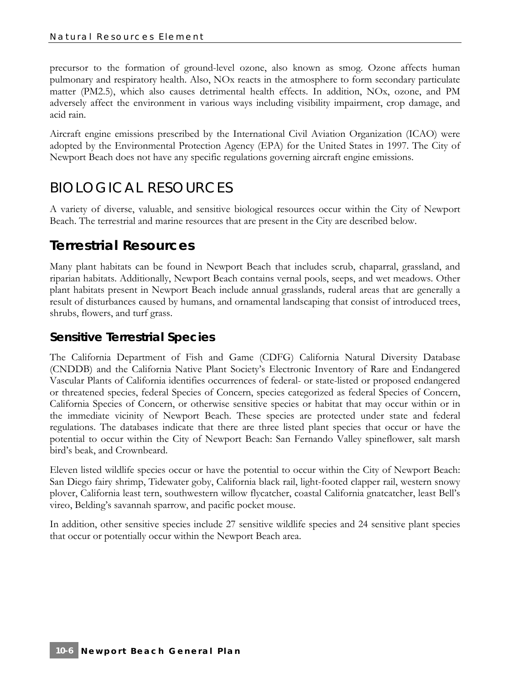precursor to the formation of ground-level ozone, also known as smog. Ozone affects human pulmonary and respiratory health. Also, NOx reacts in the atmosphere to form secondary particulate matter (PM2.5), which also causes detrimental health effects. In addition, NOx, ozone, and PM adversely affect the environment in various ways including visibility impairment, crop damage, and acid rain.

Aircraft engine emissions prescribed by the International Civil Aviation Organization (ICAO) were adopted by the Environmental Protection Agency (EPA) for the United States in 1997. The City of Newport Beach does not have any specific regulations governing aircraft engine emissions.

# BIOLOGICAL RESOURCES

A variety of diverse, valuable, and sensitive biological resources occur within the City of Newport Beach. The terrestrial and marine resources that are present in the City are described below.

# **Terrestrial Resources**

Many plant habitats can be found in Newport Beach that includes scrub, chaparral, grassland, and riparian habitats. Additionally, Newport Beach contains vernal pools, seeps, and wet meadows. Other plant habitats present in Newport Beach include annual grasslands, ruderal areas that are generally a result of disturbances caused by humans, and ornamental landscaping that consist of introduced trees, shrubs, flowers, and turf grass.

# *Sensitive Terrestrial Species*

The California Department of Fish and Game (CDFG) California Natural Diversity Database (CNDDB) and the California Native Plant Society's Electronic Inventory of Rare and Endangered Vascular Plants of California identifies occurrences of federal- or state-listed or proposed endangered or threatened species, federal Species of Concern, species categorized as federal Species of Concern, California Species of Concern, or otherwise sensitive species or habitat that may occur within or in the immediate vicinity of Newport Beach. These species are protected under state and federal regulations. The databases indicate that there are three listed plant species that occur or have the potential to occur within the City of Newport Beach: San Fernando Valley spineflower, salt marsh bird's beak, and Crownbeard.

Eleven listed wildlife species occur or have the potential to occur within the City of Newport Beach: San Diego fairy shrimp, Tidewater goby, California black rail, light-footed clapper rail, western snowy plover, California least tern, southwestern willow flycatcher, coastal California gnatcatcher, least Bell's vireo, Belding's savannah sparrow, and pacific pocket mouse.

In addition, other sensitive species include 27 sensitive wildlife species and 24 sensitive plant species that occur or potentially occur within the Newport Beach area.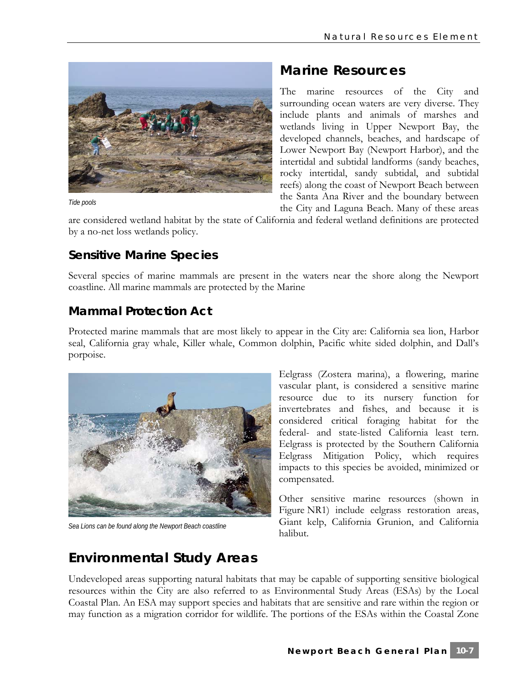

*Tide pools* 

# **Marine Resources**

The marine resources of the City and surrounding ocean waters are very diverse. They include plants and animals of marshes and wetlands living in Upper Newport Bay, the developed channels, beaches, and hardscape of Lower Newport Bay (Newport Harbor), and the intertidal and subtidal landforms (sandy beaches, rocky intertidal, sandy subtidal, and subtidal reefs) along the coast of Newport Beach between the Santa Ana River and the boundary between the City and Laguna Beach. Many of these areas

are considered wetland habitat by the state of California and federal wetland definitions are protected by a no-net loss wetlands policy.

# *Sensitive Marine Species*

Several species of marine mammals are present in the waters near the shore along the Newport coastline. All marine mammals are protected by the Marine

# *Mammal Protection Act*

Protected marine mammals that are most likely to appear in the City are: California sea lion, Harbor seal, California gray whale, Killer whale, Common dolphin, Pacific white sided dolphin, and Dall's porpoise.



*Sea Lions can be found along the Newport Beach coastline* 

Eelgrass (Zostera marina), a flowering, marine vascular plant, is considered a sensitive marine resource due to its nursery function for invertebrates and fishes, and because it is considered critical foraging habitat for the federal- and state-listed California least tern. Eelgrass is protected by the Southern California Eelgrass Mitigation Policy, which requires impacts to this species be avoided, minimized or compensated.

Other sensitive marine resources (shown in Figure NR1) include eelgrass restoration areas, Giant kelp, California Grunion, and California halibut.

# **Environmental Study Areas**

Undeveloped areas supporting natural habitats that may be capable of supporting sensitive biological resources within the City are also referred to as Environmental Study Areas (ESAs) by the Local Coastal Plan. An ESA may support species and habitats that are sensitive and rare within the region or may function as a migration corridor for wildlife. The portions of the ESAs within the Coastal Zone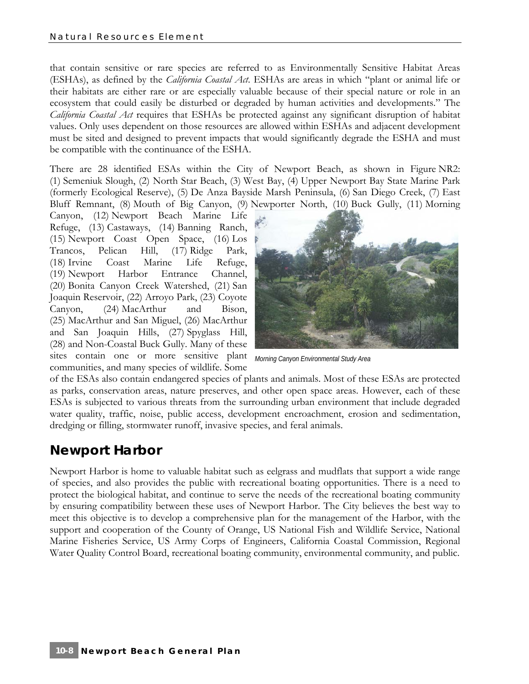that contain sensitive or rare species are referred to as Environmentally Sensitive Habitat Areas (ESHAs), as defined by the *California Coastal Act*. ESHAs are areas in which "plant or animal life or their habitats are either rare or are especially valuable because of their special nature or role in an ecosystem that could easily be disturbed or degraded by human activities and developments." The *California Coastal Act* requires that ESHAs be protected against any significant disruption of habitat values. Only uses dependent on those resources are allowed within ESHAs and adjacent development must be sited and designed to prevent impacts that would significantly degrade the ESHA and must be compatible with the continuance of the ESHA.

There are 28 identified ESAs within the City of Newport Beach, as shown in Figure NR2: (1) Semeniuk Slough, (2) North Star Beach, (3) West Bay, (4) Upper Newport Bay State Marine Park (formerly Ecological Reserve), (5) De Anza Bayside Marsh Peninsula, (6) San Diego Creek, (7) East Bluff Remnant, (8) Mouth of Big Canyon, (9) Newporter North, (10) Buck Gully, (11) Morning

Canyon, (12) Newport Beach Marine Life Refuge, (13) Castaways, (14) Banning Ranch, (15) Newport Coast Open Space, (16) Los Trancos, Pelican Hill, (17) Ridge Park, (18) Irvine Coast Marine Life Refuge, (19) Newport Harbor Entrance Channel, (20) Bonita Canyon Creek Watershed, (21) San Joaquin Reservoir, (22) Arroyo Park, (23) Coyote Canyon, (24) MacArthur and Bison, (25) MacArthur and San Miguel, (26) MacArthur and San Joaquin Hills, (27) Spyglass Hill, (28) and Non-Coastal Buck Gully. Many of these sites contain one or more sensitive plant communities, and many species of wildlife. Some



*Morning Canyon Environmental Study Area* 

of the ESAs also contain endangered species of plants and animals. Most of these ESAs are protected as parks, conservation areas, nature preserves, and other open space areas. However, each of these ESAs is subjected to various threats from the surrounding urban environment that include degraded water quality, traffic, noise, public access, development encroachment, erosion and sedimentation, dredging or filling, stormwater runoff, invasive species, and feral animals.

# **Newport Harbor**

Newport Harbor is home to valuable habitat such as eelgrass and mudflats that support a wide range of species, and also provides the public with recreational boating opportunities. There is a need to protect the biological habitat, and continue to serve the needs of the recreational boating community by ensuring compatibility between these uses of Newport Harbor. The City believes the best way to meet this objective is to develop a comprehensive plan for the management of the Harbor, with the support and cooperation of the County of Orange, US National Fish and Wildlife Service, National Marine Fisheries Service, US Army Corps of Engineers, California Coastal Commission, Regional Water Quality Control Board, recreational boating community, environmental community, and public.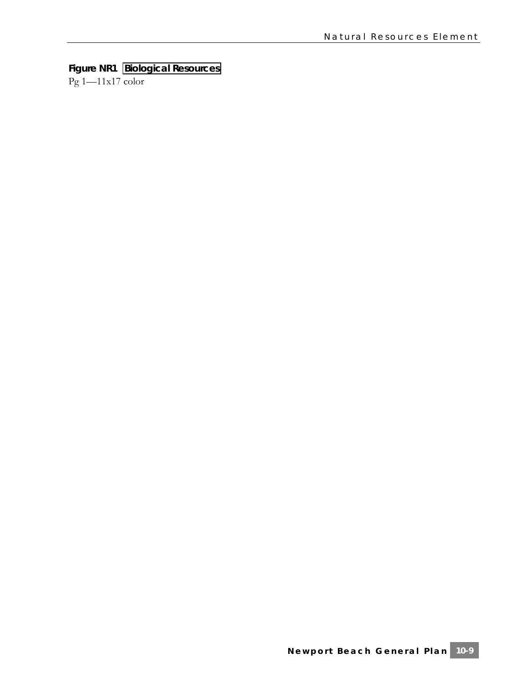# **Figure NR1 Biological Resources**

Pg 1—11x17 color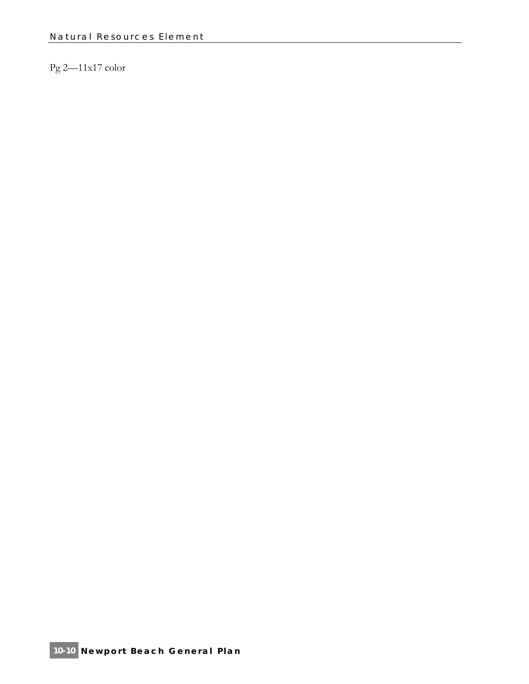# Pg 2—11x17 color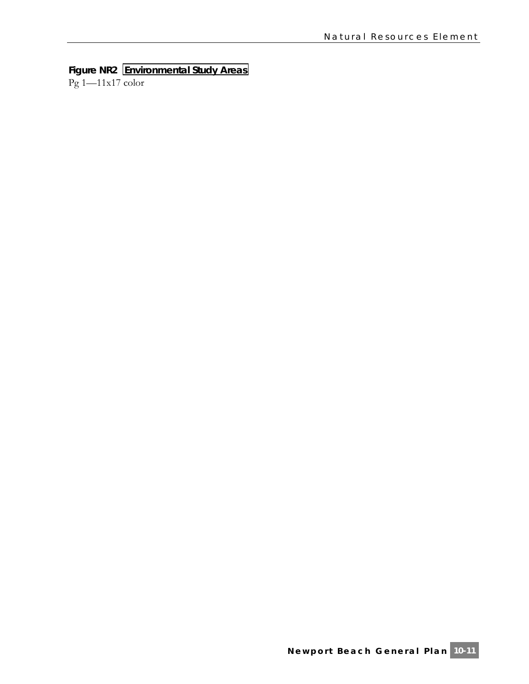# **Figure NR2 Environmental Study Areas**

Pg 1—11x17 color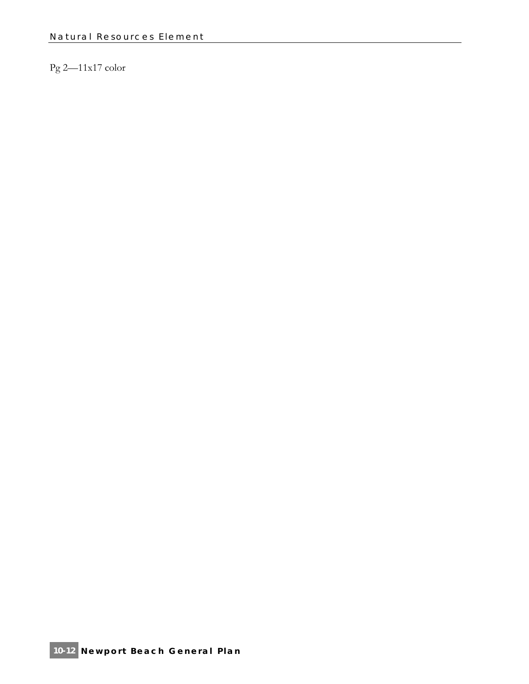# Pg 2—11x17 color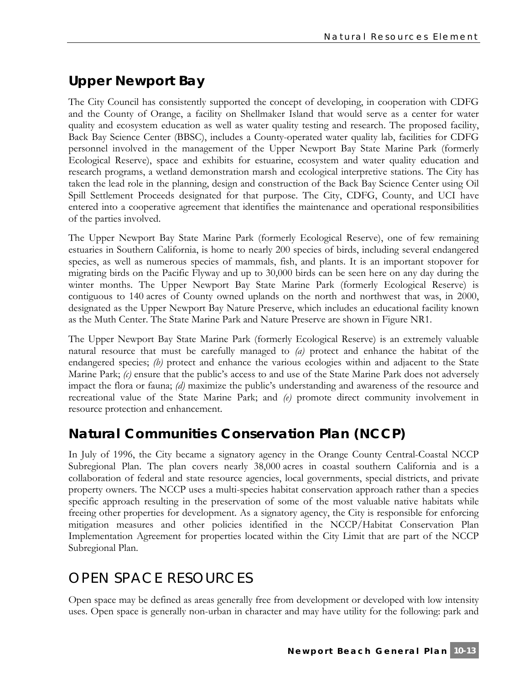# **Upper Newport Bay**

The City Council has consistently supported the concept of developing, in cooperation with CDFG and the County of Orange, a facility on Shellmaker Island that would serve as a center for water quality and ecosystem education as well as water quality testing and research. The proposed facility, Back Bay Science Center (BBSC), includes a County-operated water quality lab, facilities for CDFG personnel involved in the management of the Upper Newport Bay State Marine Park (formerly Ecological Reserve), space and exhibits for estuarine, ecosystem and water quality education and research programs, a wetland demonstration marsh and ecological interpretive stations. The City has taken the lead role in the planning, design and construction of the Back Bay Science Center using Oil Spill Settlement Proceeds designated for that purpose. The City, CDFG, County, and UCI have entered into a cooperative agreement that identifies the maintenance and operational responsibilities of the parties involved.

The Upper Newport Bay State Marine Park (formerly Ecological Reserve), one of few remaining estuaries in Southern California, is home to nearly 200 species of birds, including several endangered species, as well as numerous species of mammals, fish, and plants. It is an important stopover for migrating birds on the Pacific Flyway and up to 30,000 birds can be seen here on any day during the winter months. The Upper Newport Bay State Marine Park (formerly Ecological Reserve) is contiguous to 140 acres of County owned uplands on the north and northwest that was, in 2000, designated as the Upper Newport Bay Nature Preserve, which includes an educational facility known as the Muth Center. The State Marine Park and Nature Preserve are shown in Figure NR1.

The Upper Newport Bay State Marine Park (formerly Ecological Reserve) is an extremely valuable natural resource that must be carefully managed to *(a)* protect and enhance the habitat of the endangered species; *(b)* protect and enhance the various ecologies within and adjacent to the State Marine Park; *(c)* ensure that the public's access to and use of the State Marine Park does not adversely impact the flora or fauna; *(d)* maximize the public's understanding and awareness of the resource and recreational value of the State Marine Park; and *(e)* promote direct community involvement in resource protection and enhancement.

# **Natural Communities Conservation Plan (NCCP)**

In July of 1996, the City became a signatory agency in the Orange County Central-Coastal NCCP Subregional Plan. The plan covers nearly 38,000 acres in coastal southern California and is a collaboration of federal and state resource agencies, local governments, special districts, and private property owners. The NCCP uses a multi-species habitat conservation approach rather than a species specific approach resulting in the preservation of some of the most valuable native habitats while freeing other properties for development. As a signatory agency, the City is responsible for enforcing mitigation measures and other policies identified in the NCCP/Habitat Conservation Plan Implementation Agreement for properties located within the City Limit that are part of the NCCP Subregional Plan.

# OPEN SPACE RESOURCES

Open space may be defined as areas generally free from development or developed with low intensity uses. Open space is generally non-urban in character and may have utility for the following: park and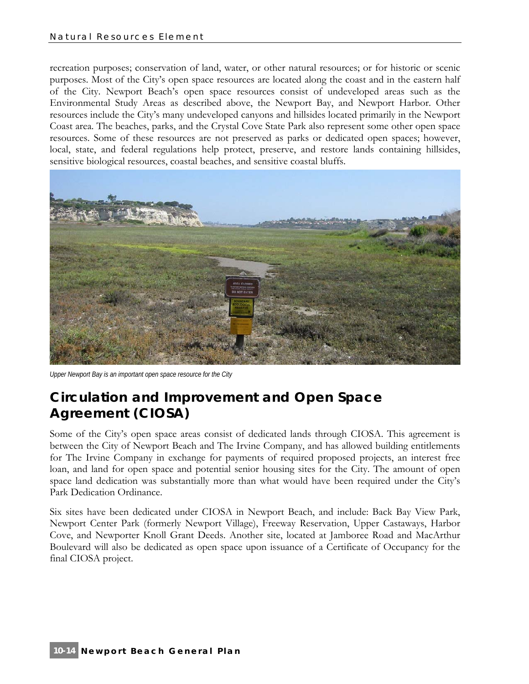recreation purposes; conservation of land, water, or other natural resources; or for historic or scenic purposes. Most of the City's open space resources are located along the coast and in the eastern half of the City. Newport Beach's open space resources consist of undeveloped areas such as the Environmental Study Areas as described above, the Newport Bay, and Newport Harbor. Other resources include the City's many undeveloped canyons and hillsides located primarily in the Newport Coast area. The beaches, parks, and the Crystal Cove State Park also represent some other open space resources. Some of these resources are not preserved as parks or dedicated open spaces; however, local, state, and federal regulations help protect, preserve, and restore lands containing hillsides, sensitive biological resources, coastal beaches, and sensitive coastal bluffs.



*Upper Newport Bay is an important open space resource for the City* 

# **Circulation and Improvement and Open Space Agreement (CIOSA)**

Some of the City's open space areas consist of dedicated lands through CIOSA. This agreement is between the City of Newport Beach and The Irvine Company, and has allowed building entitlements for The Irvine Company in exchange for payments of required proposed projects, an interest free loan, and land for open space and potential senior housing sites for the City. The amount of open space land dedication was substantially more than what would have been required under the City's Park Dedication Ordinance.

Six sites have been dedicated under CIOSA in Newport Beach, and include: Back Bay View Park, Newport Center Park (formerly Newport Village), Freeway Reservation, Upper Castaways, Harbor Cove, and Newporter Knoll Grant Deeds. Another site, located at Jamboree Road and MacArthur Boulevard will also be dedicated as open space upon issuance of a Certificate of Occupancy for the final CIOSA project.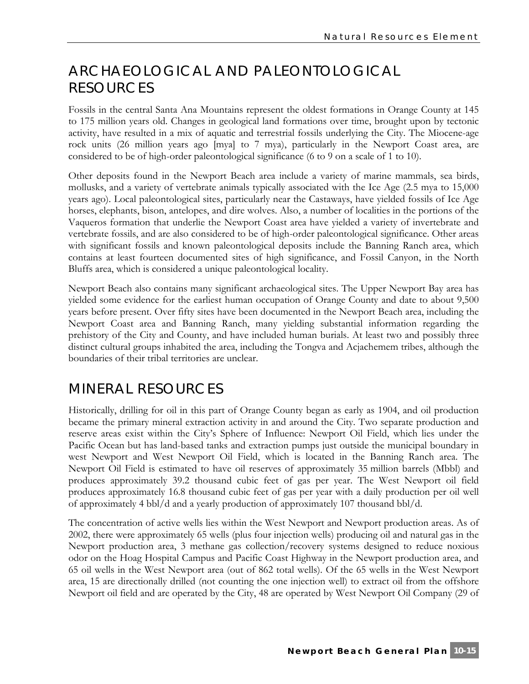# ARCHAEOLOGICAL AND PALEONTOLOGICAL RESOURCES

Fossils in the central Santa Ana Mountains represent the oldest formations in Orange County at 145 to 175 million years old. Changes in geological land formations over time, brought upon by tectonic activity, have resulted in a mix of aquatic and terrestrial fossils underlying the City. The Miocene-age rock units (26 million years ago [mya] to 7 mya), particularly in the Newport Coast area, are considered to be of high-order paleontological significance (6 to 9 on a scale of 1 to 10).

Other deposits found in the Newport Beach area include a variety of marine mammals, sea birds, mollusks, and a variety of vertebrate animals typically associated with the Ice Age (2.5 mya to 15,000 years ago). Local paleontological sites, particularly near the Castaways, have yielded fossils of Ice Age horses, elephants, bison, antelopes, and dire wolves. Also, a number of localities in the portions of the Vaqueros formation that underlie the Newport Coast area have yielded a variety of invertebrate and vertebrate fossils, and are also considered to be of high-order paleontological significance. Other areas with significant fossils and known paleontological deposits include the Banning Ranch area, which contains at least fourteen documented sites of high significance, and Fossil Canyon, in the North Bluffs area, which is considered a unique paleontological locality.

Newport Beach also contains many significant archaeological sites. The Upper Newport Bay area has yielded some evidence for the earliest human occupation of Orange County and date to about 9,500 years before present. Over fifty sites have been documented in the Newport Beach area, including the Newport Coast area and Banning Ranch, many yielding substantial information regarding the prehistory of the City and County, and have included human burials. At least two and possibly three distinct cultural groups inhabited the area, including the Tongva and Acjachemem tribes, although the boundaries of their tribal territories are unclear.

# MINERAL RESOURCES

Historically, drilling for oil in this part of Orange County began as early as 1904, and oil production became the primary mineral extraction activity in and around the City. Two separate production and reserve areas exist within the City's Sphere of Influence: Newport Oil Field, which lies under the Pacific Ocean but has land-based tanks and extraction pumps just outside the municipal boundary in west Newport and West Newport Oil Field, which is located in the Banning Ranch area. The Newport Oil Field is estimated to have oil reserves of approximately 35 million barrels (Mbbl) and produces approximately 39.2 thousand cubic feet of gas per year. The West Newport oil field produces approximately 16.8 thousand cubic feet of gas per year with a daily production per oil well of approximately 4 bbl/d and a yearly production of approximately 107 thousand bbl/d.

The concentration of active wells lies within the West Newport and Newport production areas. As of 2002, there were approximately 65 wells (plus four injection wells) producing oil and natural gas in the Newport production area, 3 methane gas collection/recovery systems designed to reduce noxious odor on the Hoag Hospital Campus and Pacific Coast Highway in the Newport production area, and 65 oil wells in the West Newport area (out of 862 total wells). Of the 65 wells in the West Newport area, 15 are directionally drilled (not counting the one injection well) to extract oil from the offshore Newport oil field and are operated by the City, 48 are operated by West Newport Oil Company (29 of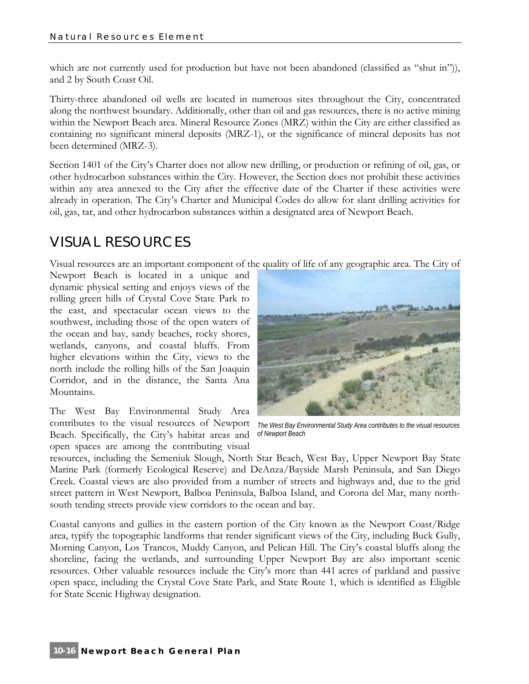which are not currently used for production but have not been abandoned (classified as "shut in")), and 2 by South Coast Oil.

Thirty-three abandoned oil wells are located in numerous sites throughout the City, concentrated along the northwest boundary. Additionally, other than oil and gas resources, there is no active mining within the Newport Beach area. Mineral Resource Zones (MRZ) within the City are either classified as containing no significant mineral deposits (MRZ-1), or the significance of mineral deposits has not been determined (MRZ-3).

Section 1401 of the City's Charter does not allow new drilling, or production or refining of oil, gas, or other hydrocarbon substances within the City. However, the Section does not prohibit these activities within any area annexed to the City after the effective date of the Charter if these activities were already in operation. The City's Charter and Municipal Codes do allow for slant drilling activities for oil, gas, tar, and other hydrocarbon substances within a designated area of Newport Beach.

# VISUAL RESOURCES

Visual resources are an important component of the quality of life of any geographic area. The City of

Newport Beach is located in a unique and dynamic physical setting and enjoys views of the rolling green hills of Crystal Cove State Park to the east, and spectacular ocean views to the southwest, including those of the open waters of the ocean and bay, sandy beaches, rocky shores, wetlands, canyons, and coastal bluffs. From higher elevations within the City, views to the north include the rolling hills of the San Joaquin Corridor, and in the distance, the Santa Ana Mountains.

The West Bay Environmental Study Area contributes to the visual resources of Newport Beach. Specifically, the City's habitat areas and open spaces are among the contributing visual



*The West Bay Environmental Study Area contributes to the visual resources of Newport Beach* 

resources, including the Semeniuk Slough, North Star Beach, West Bay, Upper Newport Bay State Marine Park (formerly Ecological Reserve) and DeAnza/Bayside Marsh Peninsula, and San Diego Creek. Coastal views are also provided from a number of streets and highways and, due to the grid street pattern in West Newport, Balboa Peninsula, Balboa Island, and Corona del Mar, many northsouth tending streets provide view corridors to the ocean and bay.

Coastal canyons and gullies in the eastern portion of the City known as the Newport Coast/Ridge area, typify the topographic landforms that render significant views of the City, including Buck Gully, Morning Canyon, Los Trancos, Muddy Canyon, and Pelican Hill. The City's coastal bluffs along the shoreline, facing the wetlands, and surrounding Upper Newport Bay are also important scenic resources. Other valuable resources include the City's more than 441 acres of parkland and passive open space, including the Crystal Cove State Park, and State Route 1, which is identified as Eligible for State Scenic Highway designation.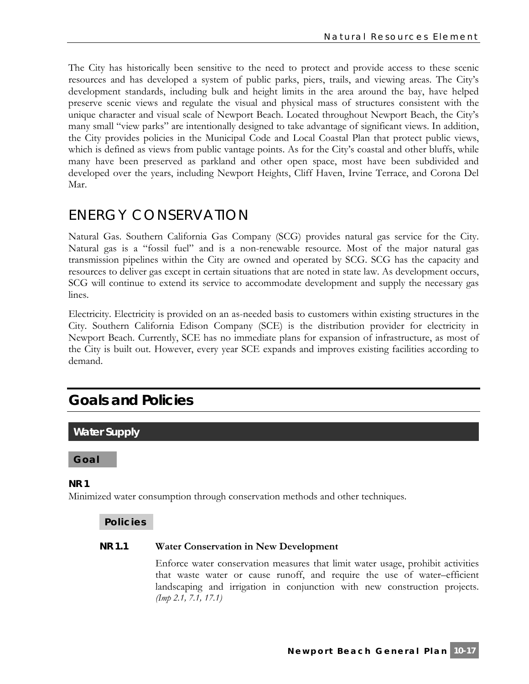The City has historically been sensitive to the need to protect and provide access to these scenic resources and has developed a system of public parks, piers, trails, and viewing areas. The City's development standards, including bulk and height limits in the area around the bay, have helped preserve scenic views and regulate the visual and physical mass of structures consistent with the unique character and visual scale of Newport Beach. Located throughout Newport Beach, the City's many small "view parks" are intentionally designed to take advantage of significant views. In addition, the City provides policies in the Municipal Code and Local Coastal Plan that protect public views, which is defined as views from public vantage points. As for the City's coastal and other bluffs, while many have been preserved as parkland and other open space, most have been subdivided and developed over the years, including Newport Heights, Cliff Haven, Irvine Terrace, and Corona Del Mar.

# ENERGY CONSERVATION

Natural Gas. Southern California Gas Company (SCG) provides natural gas service for the City. Natural gas is a "fossil fuel" and is a non-renewable resource. Most of the major natural gas transmission pipelines within the City are owned and operated by SCG. SCG has the capacity and resources to deliver gas except in certain situations that are noted in state law. As development occurs, SCG will continue to extend its service to accommodate development and supply the necessary gas lines.

Electricity. Electricity is provided on an as-needed basis to customers within existing structures in the City. Southern California Edison Company (SCE) is the distribution provider for electricity in Newport Beach. Currently, SCE has no immediate plans for expansion of infrastructure, as most of the City is built out. However, every year SCE expands and improves existing facilities according to demand.

# **Goals and Policies**

# **Water Supply**

**Goal** 

# **NR 1**

Minimized water consumption through conservation methods and other techniques.

# **Policies**

### **NR 1.1 Water Conservation in New Development**

Enforce water conservation measures that limit water usage, prohibit activities that waste water or cause runoff, and require the use of water–efficient landscaping and irrigation in conjunction with new construction projects. *(Imp 2.1, 7.1, 17.1)*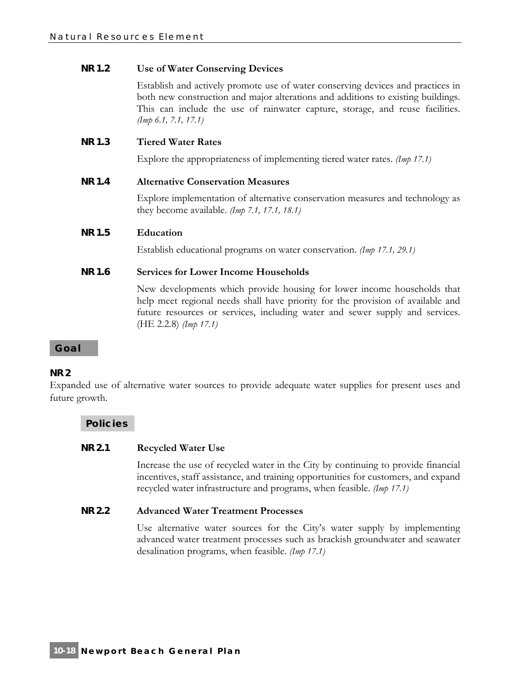# **NR 1.2 Use of Water Conserving Devices**

Establish and actively promote use of water conserving devices and practices in both new construction and major alterations and additions to existing buildings. This can include the use of rainwater capture, storage, and reuse facilities. *(Imp 6.1, 7.1, 17.1)*

# **NR 1.3 Tiered Water Rates**

Explore the appropriateness of implementing tiered water rates. *(Imp 17.1)*

# **NR 1.4 Alternative Conservation Measures**

Explore implementation of alternative conservation measures and technology as they become available. *(Imp 7.1, 17.1, 18.1)*

# **NR 1.5 Education**

Establish educational programs on water conservation. *(Imp 17.1, 29.1)*

# **NR 1.6 Services for Lower Income Households**

New developments which provide housing for lower income households that help meet regional needs shall have priority for the provision of available and future resources or services, including water and sewer supply and services. (HE 2.2.8) *(Imp 17.1)*

#### **Goal**

# **NR 2**

Expanded use of alternative water sources to provide adequate water supplies for present uses and future growth.

#### **Policies**

#### **NR 2.1 Recycled Water Use**

Increase the use of recycled water in the City by continuing to provide financial incentives, staff assistance, and training opportunities for customers, and expand recycled water infrastructure and programs, when feasible. *(Imp 17.1)*

#### **NR 2.2 Advanced Water Treatment Processes**

Use alternative water sources for the City's water supply by implementing advanced water treatment processes such as brackish groundwater and seawater desalination programs, when feasible. *(Imp 17.1)*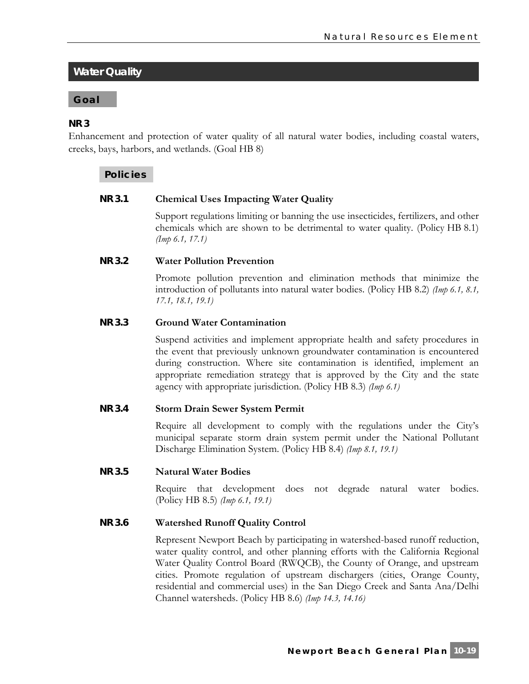# **Water Quality**

#### **Goal**

#### **NR 3**

Enhancement and protection of water quality of all natural water bodies, including coastal waters, creeks, bays, harbors, and wetlands. (Goal HB 8)

#### **Policies**

#### **NR 3.1 Chemical Uses Impacting Water Quality**

Support regulations limiting or banning the use insecticides, fertilizers, and other chemicals which are shown to be detrimental to water quality. (Policy HB 8.1) *(Imp 6.1, 17.1)*

#### **NR 3.2 Water Pollution Prevention**

Promote pollution prevention and elimination methods that minimize the introduction of pollutants into natural water bodies. (Policy HB 8.2) *(Imp 6.1, 8.1, 17.1, 18.1, 19.1)*

#### **NR 3.3 Ground Water Contamination**

Suspend activities and implement appropriate health and safety procedures in the event that previously unknown groundwater contamination is encountered during construction. Where site contamination is identified, implement an appropriate remediation strategy that is approved by the City and the state agency with appropriate jurisdiction. (Policy HB 8.3) *(Imp 6.1)*

#### **NR 3.4 Storm Drain Sewer System Permit**

Require all development to comply with the regulations under the City's municipal separate storm drain system permit under the National Pollutant Discharge Elimination System. (Policy HB 8.4) *(Imp 8.1, 19.1)*

#### **NR 3.5 Natural Water Bodies**

Require that development does not degrade natural water bodies. (Policy HB 8.5) *(Imp 6.1, 19.1)*

#### **NR 3.6 Watershed Runoff Quality Control**

Represent Newport Beach by participating in watershed-based runoff reduction, water quality control, and other planning efforts with the California Regional Water Quality Control Board (RWQCB), the County of Orange, and upstream cities. Promote regulation of upstream dischargers (cities, Orange County, residential and commercial uses) in the San Diego Creek and Santa Ana/Delhi Channel watersheds. (Policy HB 8.6) *(Imp 14.3, 14.16)*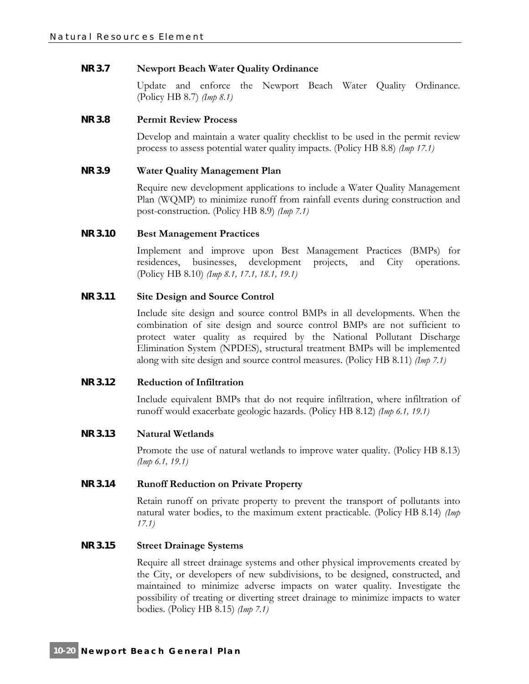# **NR 3.7 Newport Beach Water Quality Ordinance**

Update and enforce the Newport Beach Water Quality Ordinance. (Policy HB 8.7) *(Imp 8.1)*

#### **NR 3.8 Permit Review Process**

Develop and maintain a water quality checklist to be used in the permit review process to assess potential water quality impacts. (Policy HB 8.8) *(Imp 17.1)*

# **NR 3.9 Water Quality Management Plan**

Require new development applications to include a Water Quality Management Plan (WQMP) to minimize runoff from rainfall events during construction and post-construction. (Policy HB 8.9) *(Imp 7.1)*

# **NR 3.10 Best Management Practices**

Implement and improve upon Best Management Practices (BMPs) for residences, businesses, development projects, and City operations. (Policy HB 8.10) *(Imp 8.1, 17.1, 18.1, 19.1)*

# **NR 3.11 Site Design and Source Control**

Include site design and source control BMPs in all developments. When the combination of site design and source control BMPs are not sufficient to protect water quality as required by the National Pollutant Discharge Elimination System (NPDES), structural treatment BMPs will be implemented along with site design and source control measures. (Policy HB 8.11) *(Imp 7.1)*

#### **NR 3.12 Reduction of Infiltration**

Include equivalent BMPs that do not require infiltration, where infiltration of runoff would exacerbate geologic hazards. (Policy HB 8.12) *(Imp 6.1, 19.1)*

#### **NR 3.13 Natural Wetlands**

Promote the use of natural wetlands to improve water quality. (Policy HB 8.13) *(Imp 6.1, 19.1)*

#### **NR 3.14 Runoff Reduction on Private Property**

Retain runoff on private property to prevent the transport of pollutants into natural water bodies, to the maximum extent practicable. (Policy HB 8.14) *(Imp 17.1)*

#### **NR 3.15 Street Drainage Systems**

Require all street drainage systems and other physical improvements created by the City, or developers of new subdivisions, to be designed, constructed, and maintained to minimize adverse impacts on water quality. Investigate the possibility of treating or diverting street drainage to minimize impacts to water bodies. (Policy HB 8.15) *(Imp 7.1)*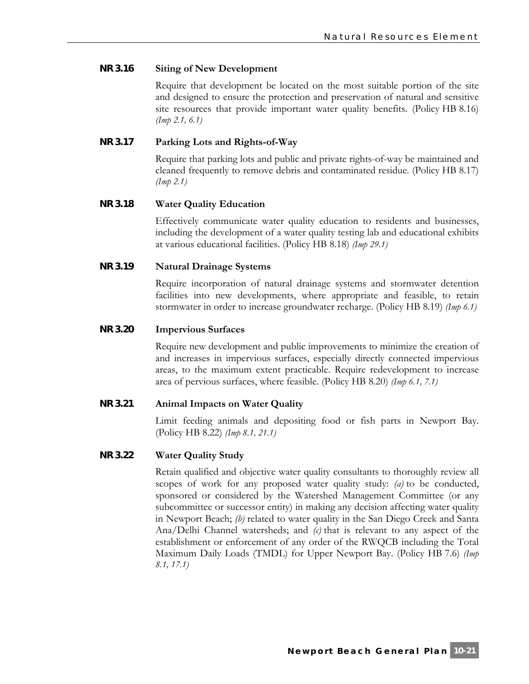# **NR 3.16 Siting of New Development**

Require that development be located on the most suitable portion of the site and designed to ensure the protection and preservation of natural and sensitive site resources that provide important water quality benefits. (Policy HB 8.16) *(Imp 2.1, 6.1)*

# **NR 3.17 Parking Lots and Rights-of-Way**

Require that parking lots and public and private rights-of-way be maintained and cleaned frequently to remove debris and contaminated residue. (Policy HB 8.17) *(Imp 2.1)*

# **NR 3.18 Water Quality Education**

Effectively communicate water quality education to residents and businesses, including the development of a water quality testing lab and educational exhibits at various educational facilities. (Policy HB 8.18) *(Imp 29.1)*

# **NR 3.19 Natural Drainage Systems**

Require incorporation of natural drainage systems and stormwater detention facilities into new developments, where appropriate and feasible, to retain stormwater in order to increase groundwater recharge. (Policy HB 8.19) *(Imp 6.1)*

#### **NR 3.20 Impervious Surfaces**

Require new development and public improvements to minimize the creation of and increases in impervious surfaces, especially directly connected impervious areas, to the maximum extent practicable. Require redevelopment to increase area of pervious surfaces, where feasible. (Policy HB 8.20) *(Imp 6.1, 7.1)*

#### **NR 3.21 Animal Impacts on Water Quality**

Limit feeding animals and depositing food or fish parts in Newport Bay. (Policy HB 8.22) *(Imp 8.1, 21.1)*

#### **NR 3.22 Water Quality Study**

Retain qualified and objective water quality consultants to thoroughly review all scopes of work for any proposed water quality study: *(a)* to be conducted, sponsored or considered by the Watershed Management Committee (or any subcommittee or successor entity) in making any decision affecting water quality in Newport Beach; *(b)* related to water quality in the San Diego Creek and Santa Ana/Delhi Channel watersheds; and *(c)* that is relevant to any aspect of the establishment or enforcement of any order of the RWQCB including the Total Maximum Daily Loads (TMDL) for Upper Newport Bay. (Policy HB 7.6) *(Imp 8.1, 17.1)*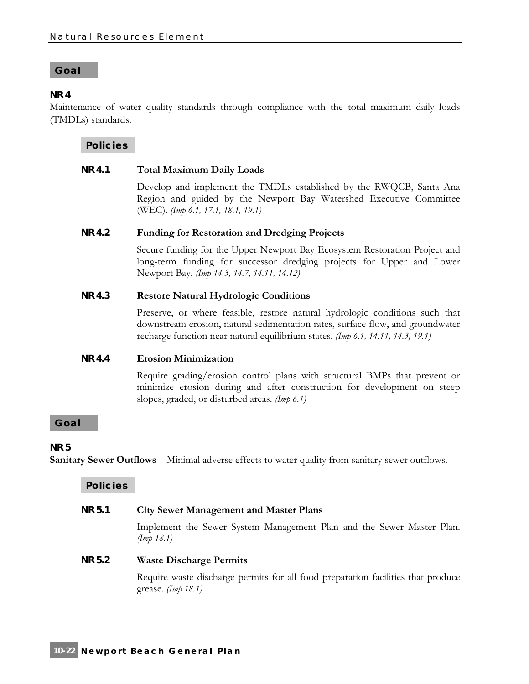#### **Goal**

#### **NR 4**

Maintenance of water quality standards through compliance with the total maximum daily loads (TMDLs) standards.

**Policies** 

#### **NR 4.1 Total Maximum Daily Loads**

Develop and implement the TMDLs established by the RWQCB, Santa Ana Region and guided by the Newport Bay Watershed Executive Committee (WEC). *(Imp 6.1, 17.1, 18.1, 19.1)*

#### **NR 4.2 Funding for Restoration and Dredging Projects**

Secure funding for the Upper Newport Bay Ecosystem Restoration Project and long-term funding for successor dredging projects for Upper and Lower Newport Bay. *(Imp 14.3, 14.7, 14.11, 14.12)*

#### **NR 4.3 Restore Natural Hydrologic Conditions**

Preserve, or where feasible, restore natural hydrologic conditions such that downstream erosion, natural sedimentation rates, surface flow, and groundwater recharge function near natural equilibrium states. *(Imp 6.1, 14.11, 14.3, 19.1)*

#### **NR 4.4 Erosion Minimization**

Require grading/erosion control plans with structural BMPs that prevent or minimize erosion during and after construction for development on steep slopes, graded, or disturbed areas. *(Imp 6.1)*

#### **Goal**

#### **NR 5**

**Sanitary Sewer Outflows**—Minimal adverse effects to water quality from sanitary sewer outflows.

**Policies** 

#### **NR 5.1 City Sewer Management and Master Plans**

Implement the Sewer System Management Plan and the Sewer Master Plan. *(Imp 18.1)*

#### **NR 5.2 Waste Discharge Permits**

Require waste discharge permits for all food preparation facilities that produce grease. *(Imp 18.1)*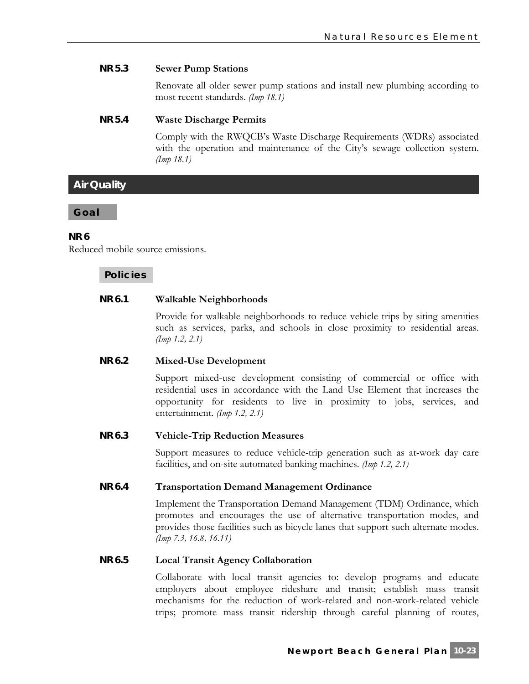# **NR 5.3 Sewer Pump Stations**

Renovate all older sewer pump stations and install new plumbing according to most recent standards. *(Imp 18.1)*

#### **NR 5.4 Waste Discharge Permits**

Comply with the RWQCB's Waste Discharge Requirements (WDRs) associated with the operation and maintenance of the City's sewage collection system. *(Imp 18.1)*

# **Air Quality**

#### **Goal**

# **NR 6**

Reduced mobile source emissions.

# **Policies**

# **NR 6.1 Walkable Neighborhoods**

Provide for walkable neighborhoods to reduce vehicle trips by siting amenities such as services, parks, and schools in close proximity to residential areas. *(Imp 1.2, 2.1)*

#### **NR 6.2 Mixed-Use Development**

Support mixed-use development consisting of commercial or office with residential uses in accordance with the Land Use Element that increases the opportunity for residents to live in proximity to jobs, services, and entertainment. *(Imp 1.2, 2.1)*

#### **NR 6.3 Vehicle-Trip Reduction Measures**

Support measures to reduce vehicle-trip generation such as at-work day care facilities, and on-site automated banking machines. *(Imp 1.2, 2.1)*

#### **NR 6.4 Transportation Demand Management Ordinance**

Implement the Transportation Demand Management (TDM) Ordinance, which promotes and encourages the use of alternative transportation modes, and provides those facilities such as bicycle lanes that support such alternate modes. *(Imp 7.3, 16.8, 16.11)*

# **NR 6.5 Local Transit Agency Collaboration**

Collaborate with local transit agencies to: develop programs and educate employers about employee rideshare and transit; establish mass transit mechanisms for the reduction of work-related and non-work-related vehicle trips; promote mass transit ridership through careful planning of routes,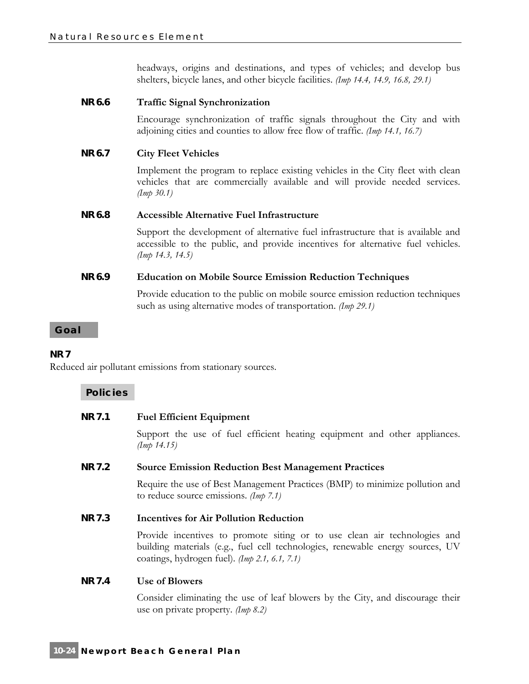headways, origins and destinations, and types of vehicles; and develop bus shelters, bicycle lanes, and other bicycle facilities. *(Imp 14.4, 14.9, 16.8, 29.1)*

# **NR 6.6 Traffic Signal Synchronization**

Encourage synchronization of traffic signals throughout the City and with adjoining cities and counties to allow free flow of traffic. *(Imp 14.1, 16.7)*

# **NR 6.7 City Fleet Vehicles**

Implement the program to replace existing vehicles in the City fleet with clean vehicles that are commercially available and will provide needed services. *(Imp 30.1)*

#### **NR 6.8 Accessible Alternative Fuel Infrastructure**

Support the development of alternative fuel infrastructure that is available and accessible to the public, and provide incentives for alternative fuel vehicles. *(Imp 14.3, 14.5)*

# **NR 6.9 Education on Mobile Source Emission Reduction Techniques**

Provide education to the public on mobile source emission reduction techniques such as using alternative modes of transportation. *(Imp 29.1)*

#### **Goal**

#### **NR 7**

Reduced air pollutant emissions from stationary sources.

#### **Policies**

#### **NR 7.1 Fuel Efficient Equipment**

Support the use of fuel efficient heating equipment and other appliances. *(Imp 14.15)*

#### **NR 7.2 Source Emission Reduction Best Management Practices**

Require the use of Best Management Practices (BMP) to minimize pollution and to reduce source emissions. *(Imp 7.1)*

#### **NR 7.3 Incentives for Air Pollution Reduction**

Provide incentives to promote siting or to use clean air technologies and building materials (e.g., fuel cell technologies, renewable energy sources, UV coatings, hydrogen fuel). *(Imp 2.1, 6.1, 7.1)*

#### **NR 7.4 Use of Blowers**

Consider eliminating the use of leaf blowers by the City, and discourage their use on private property. *(Imp 8.2)*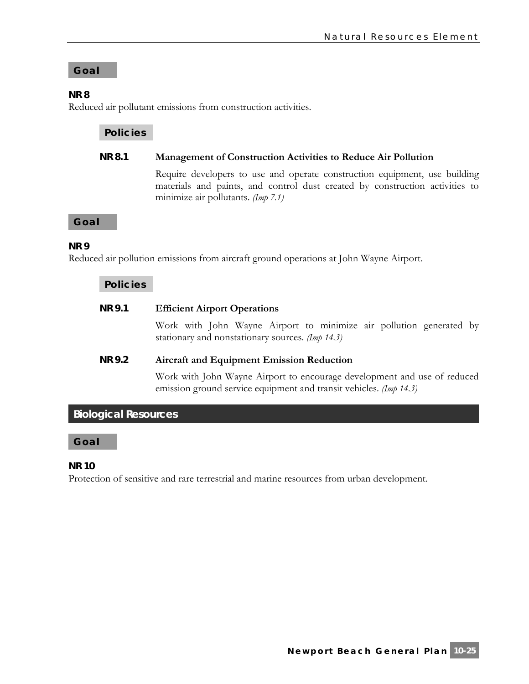# **Goal**

# **NR 8**

Reduced air pollutant emissions from construction activities.

# **Policies**

# **NR 8.1 Management of Construction Activities to Reduce Air Pollution**

Require developers to use and operate construction equipment, use building materials and paints, and control dust created by construction activities to minimize air pollutants. *(Imp 7.1)*

**Goal** 

# **NR 9**

Reduced air pollution emissions from aircraft ground operations at John Wayne Airport.

# **Policies**

# **NR 9.1 Efficient Airport Operations**

Work with John Wayne Airport to minimize air pollution generated by stationary and nonstationary sources. *(Imp 14.3)*

# **NR 9.2 Aircraft and Equipment Emission Reduction**

Work with John Wayne Airport to encourage development and use of reduced emission ground service equipment and transit vehicles. *(Imp 14.3)*

# **Biological Resources**

# **Goal**

#### **NR 10**

Protection of sensitive and rare terrestrial and marine resources from urban development.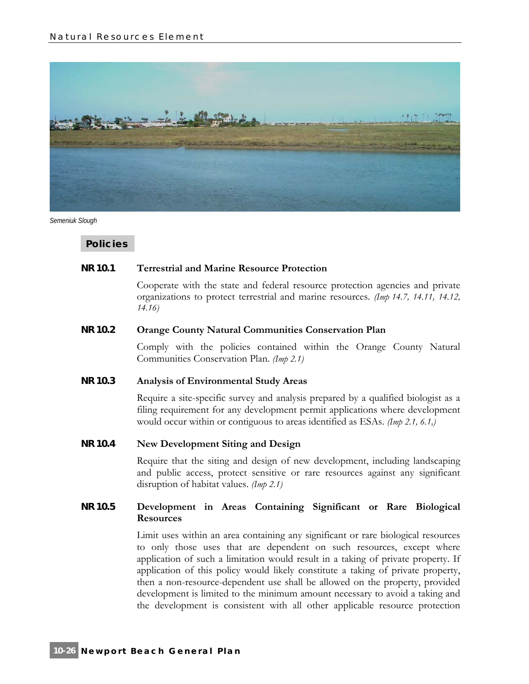

*Semeniuk Slough* 

**Policies** 

#### **NR 10.1 Terrestrial and Marine Resource Protection**

Cooperate with the state and federal resource protection agencies and private organizations to protect terrestrial and marine resources. *(Imp 14.7, 14.11, 14.12, 14.16)*

#### **NR 10.2 Orange County Natural Communities Conservation Plan**

Comply with the policies contained within the Orange County Natural Communities Conservation Plan. *(Imp 2.1)*

#### **NR 10.3 Analysis of Environmental Study Areas**

Require a site-specific survey and analysis prepared by a qualified biologist as a filing requirement for any development permit applications where development would occur within or contiguous to areas identified as ESAs. *(Imp 2.1, 6.1,)*

# **NR 10.4 New Development Siting and Design**

Require that the siting and design of new development, including landscaping and public access, protect sensitive or rare resources against any significant disruption of habitat values. *(Imp 2.1)*

# **NR 10.5 Development in Areas Containing Significant or Rare Biological Resources**

Limit uses within an area containing any significant or rare biological resources to only those uses that are dependent on such resources, except where application of such a limitation would result in a taking of private property. If application of this policy would likely constitute a taking of private property, then a non-resource-dependent use shall be allowed on the property, provided development is limited to the minimum amount necessary to avoid a taking and the development is consistent with all other applicable resource protection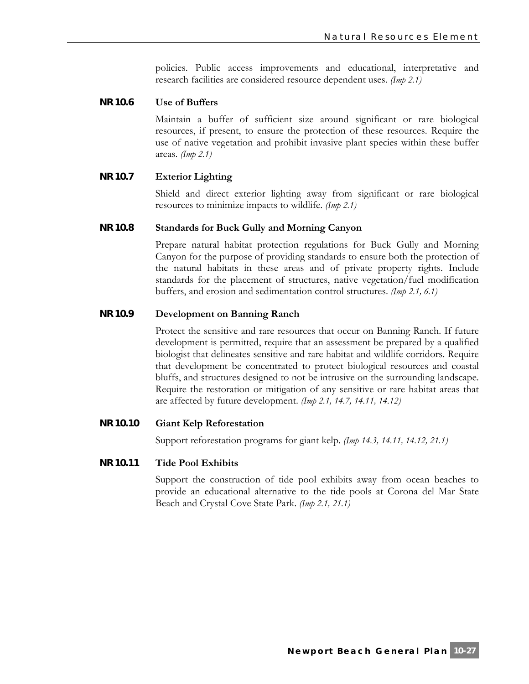policies. Public access improvements and educational, interpretative and research facilities are considered resource dependent uses. *(Imp 2.1)*

#### **NR 10.6 Use of Buffers**

Maintain a buffer of sufficient size around significant or rare biological resources, if present, to ensure the protection of these resources. Require the use of native vegetation and prohibit invasive plant species within these buffer areas. *(Imp 2.1)*

# **NR 10.7 Exterior Lighting**

Shield and direct exterior lighting away from significant or rare biological resources to minimize impacts to wildlife. *(Imp 2.1)*

#### **NR 10.8 Standards for Buck Gully and Morning Canyon**

Prepare natural habitat protection regulations for Buck Gully and Morning Canyon for the purpose of providing standards to ensure both the protection of the natural habitats in these areas and of private property rights. Include standards for the placement of structures, native vegetation/fuel modification buffers, and erosion and sedimentation control structures. *(Imp 2.1, 6.1)*

#### **NR 10.9 Development on Banning Ranch**

Protect the sensitive and rare resources that occur on Banning Ranch. If future development is permitted, require that an assessment be prepared by a qualified biologist that delineates sensitive and rare habitat and wildlife corridors. Require that development be concentrated to protect biological resources and coastal bluffs, and structures designed to not be intrusive on the surrounding landscape. Require the restoration or mitigation of any sensitive or rare habitat areas that are affected by future development. *(Imp 2.1, 14.7, 14.11, 14.12)*

#### **NR 10.10 Giant Kelp Reforestation**

Support reforestation programs for giant kelp. *(Imp 14.3, 14.11, 14.12, 21.1)*

#### **NR 10.11 Tide Pool Exhibits**

Support the construction of tide pool exhibits away from ocean beaches to provide an educational alternative to the tide pools at Corona del Mar State Beach and Crystal Cove State Park. *(Imp 2.1, 21.1)*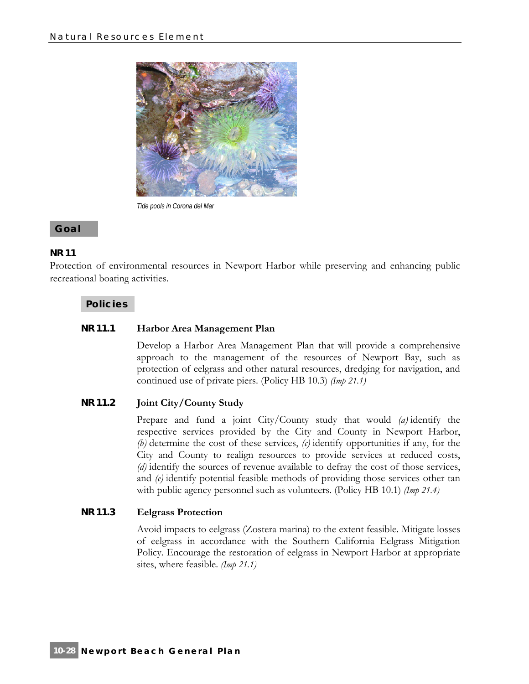

*Tide pools in Corona del Mar* 

# **Goal**

# **NR 11**

Protection of environmental resources in Newport Harbor while preserving and enhancing public recreational boating activities.

# **Policies**

# **NR 11.1 Harbor Area Management Plan**

Develop a Harbor Area Management Plan that will provide a comprehensive approach to the management of the resources of Newport Bay, such as protection of eelgrass and other natural resources, dredging for navigation, and continued use of private piers. (Policy HB 10.3) *(Imp 21.1)*

# **NR 11.2 Joint City/County Study**

Prepare and fund a joint City/County study that would *(a)* identify the respective services provided by the City and County in Newport Harbor, *(b)* determine the cost of these services, *(c)* identify opportunities if any, for the City and County to realign resources to provide services at reduced costs, *(d)* identify the sources of revenue available to defray the cost of those services, and *(e)* identify potential feasible methods of providing those services other tan with public agency personnel such as volunteers. (Policy HB 10.1) *(Imp 21.4)*

# **NR 11.3 Eelgrass Protection**

Avoid impacts to eelgrass (Zostera marina) to the extent feasible. Mitigate losses of eelgrass in accordance with the Southern California Eelgrass Mitigation Policy. Encourage the restoration of eelgrass in Newport Harbor at appropriate sites, where feasible. *(Imp 21.1)*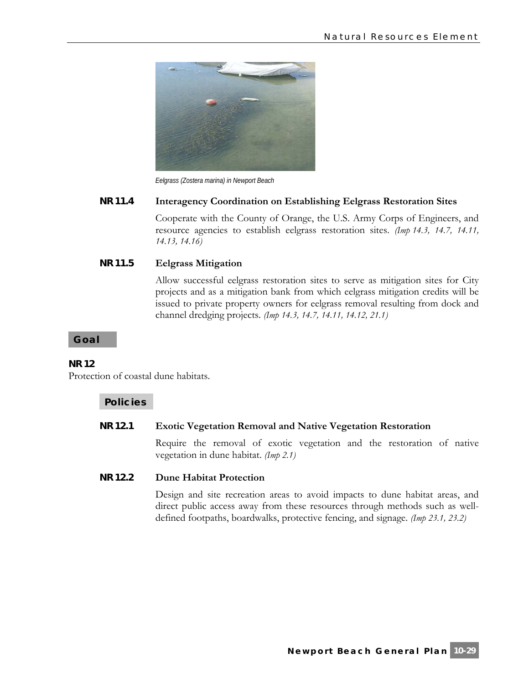

*Eelgrass (Zostera marina) in Newport Beach* 

# **NR 11.4 Interagency Coordination on Establishing Eelgrass Restoration Sites**

Cooperate with the County of Orange, the U.S. Army Corps of Engineers, and resource agencies to establish eelgrass restoration sites. *(Imp 14.3, 14.7, 14.11, 14.13, 14.16)*

# **NR 11.5 Eelgrass Mitigation**

Allow successful eelgrass restoration sites to serve as mitigation sites for City projects and as a mitigation bank from which eelgrass mitigation credits will be issued to private property owners for eelgrass removal resulting from dock and channel dredging projects. *(Imp 14.3, 14.7, 14.11, 14.12, 21.1)*

#### **Goal**

#### **NR 12**

Protection of coastal dune habitats.

#### **Policies**

#### **NR 12.1 Exotic Vegetation Removal and Native Vegetation Restoration**

Require the removal of exotic vegetation and the restoration of native vegetation in dune habitat. *(Imp 2.1)*

# **NR 12.2 Dune Habitat Protection**

Design and site recreation areas to avoid impacts to dune habitat areas, and direct public access away from these resources through methods such as welldefined footpaths, boardwalks, protective fencing, and signage. *(Imp 23.1, 23.2)*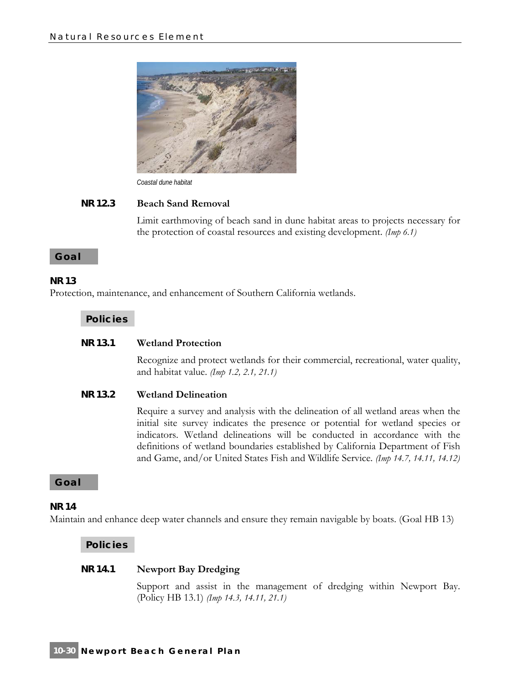

*Coastal dune habitat* 

#### **NR 12.3 Beach Sand Removal**

Limit earthmoving of beach sand in dune habitat areas to projects necessary for the protection of coastal resources and existing development. *(Imp 6.1)*

#### **Goal**

#### **NR 13**

Protection, maintenance, and enhancement of Southern California wetlands.

#### **Policies**

#### **NR 13.1 Wetland Protection**

Recognize and protect wetlands for their commercial, recreational, water quality, and habitat value. *(Imp 1.2, 2.1, 21.1)*

#### **NR 13.2 Wetland Delineation**

Require a survey and analysis with the delineation of all wetland areas when the initial site survey indicates the presence or potential for wetland species or indicators. Wetland delineations will be conducted in accordance with the definitions of wetland boundaries established by California Department of Fish and Game, and/or United States Fish and Wildlife Service. *(Imp 14.7, 14.11, 14.12)*

#### **Goal**

#### **NR 14**

Maintain and enhance deep water channels and ensure they remain navigable by boats. (Goal HB 13)

#### **Policies**

# **NR 14.1 Newport Bay Dredging**

Support and assist in the management of dredging within Newport Bay. (Policy HB 13.1) *(Imp 14.3, 14.11, 21.1)*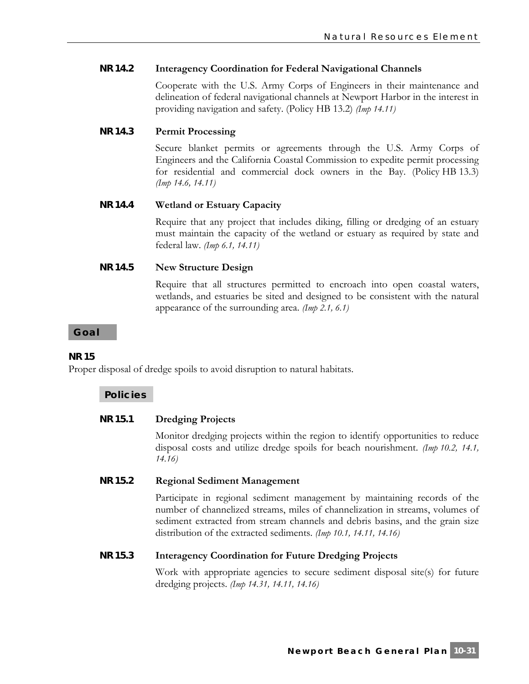# **NR 14.2 Interagency Coordination for Federal Navigational Channels**

Cooperate with the U.S. Army Corps of Engineers in their maintenance and delineation of federal navigational channels at Newport Harbor in the interest in providing navigation and safety. (Policy HB 13.2) *(Imp 14.11)*

# **NR 14.3 Permit Processing**

Secure blanket permits or agreements through the U.S. Army Corps of Engineers and the California Coastal Commission to expedite permit processing for residential and commercial dock owners in the Bay. (Policy HB 13.3) *(Imp 14.6, 14.11)*

# **NR 14.4 Wetland or Estuary Capacity**

Require that any project that includes diking, filling or dredging of an estuary must maintain the capacity of the wetland or estuary as required by state and federal law. *(Imp 6.1, 14.11)*

# **NR 14.5 New Structure Design**

Require that all structures permitted to encroach into open coastal waters, wetlands, and estuaries be sited and designed to be consistent with the natural appearance of the surrounding area. *(Imp 2.1, 6.1)*

# **Goal**

# **NR 15**

Proper disposal of dredge spoils to avoid disruption to natural habitats.

# **Policies**

# **NR 15.1 Dredging Projects**

Monitor dredging projects within the region to identify opportunities to reduce disposal costs and utilize dredge spoils for beach nourishment. *(Imp 10.2, 14.1, 14.16)*

# **NR 15.2 Regional Sediment Management**

Participate in regional sediment management by maintaining records of the number of channelized streams, miles of channelization in streams, volumes of sediment extracted from stream channels and debris basins, and the grain size distribution of the extracted sediments. *(Imp 10.1, 14.11, 14.16)*

#### **NR 15.3 Interagency Coordination for Future Dredging Projects**

Work with appropriate agencies to secure sediment disposal site(s) for future dredging projects. *(Imp 14.31, 14.11, 14.16)*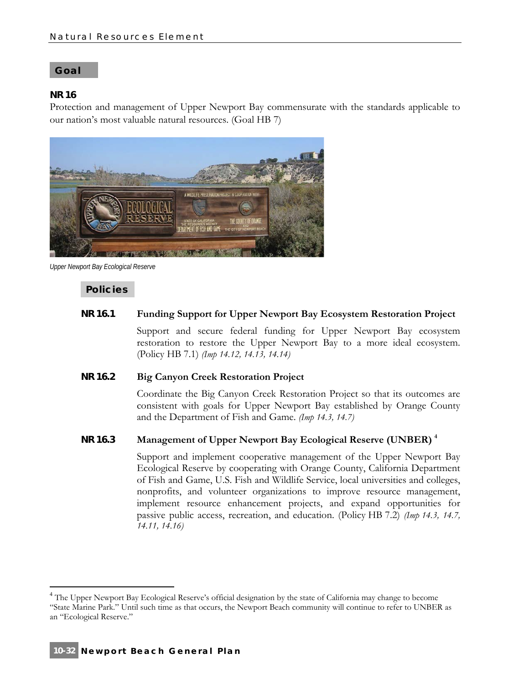#### **Goal**

# **NR 16**

Protection and management of Upper Newport Bay commensurate with the standards applicable to our nation's most valuable natural resources. (Goal HB 7)



*Upper Newport Bay Ecological Reserve* 

# **Policies**

# **NR 16.1 Funding Support for Upper Newport Bay Ecosystem Restoration Project**

Support and secure federal funding for Upper Newport Bay ecosystem restoration to restore the Upper Newport Bay to a more ideal ecosystem. (Policy HB 7.1) *(Imp 14.12, 14.13, 14.14)*

#### **NR 16.2 Big Canyon Creek Restoration Project**

Coordinate the Big Canyon Creek Restoration Project so that its outcomes are consistent with goals for Upper Newport Bay established by Orange County and the Department of Fish and Game. *(Imp 14.3, 14.7)*

# **NR 16.3 Management of Upper Newport Bay Ecological Reserve (UNBER) 4**

Support and implement cooperative management of the Upper Newport Bay Ecological Reserve by cooperating with Orange County, California Department of Fish and Game, U.S. Fish and Wildlife Service, local universities and colleges, nonprofits, and volunteer organizations to improve resource management, implement resource enhancement projects, and expand opportunities for passive public access, recreation, and education. (Policy HB 7.2) *(Imp 14.3, 14.7, 14.11, 14.16)*

 $\overline{a}$ 

<sup>&</sup>lt;sup>4</sup> The Upper Newport Bay Ecological Reserve's official designation by the state of California may change to become "State Marine Park." Until such time as that occurs, the Newport Beach community will continue to refer to UNBER as an "Ecological Reserve."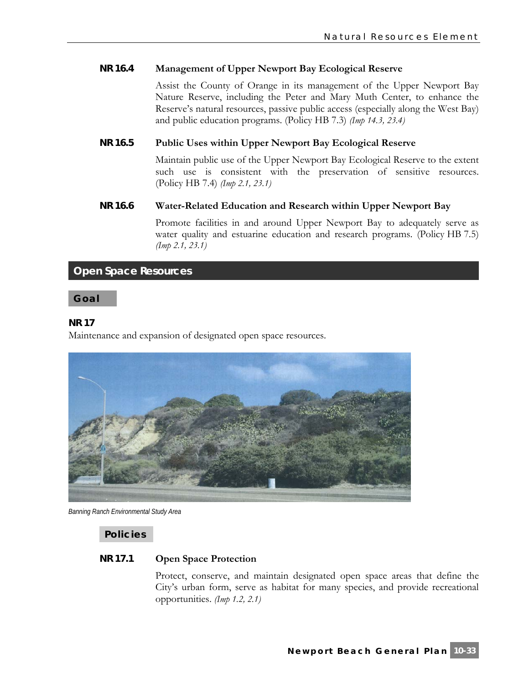# **NR 16.4 Management of Upper Newport Bay Ecological Reserve**

Assist the County of Orange in its management of the Upper Newport Bay Nature Reserve, including the Peter and Mary Muth Center, to enhance the Reserve's natural resources, passive public access (especially along the West Bay) and public education programs. (Policy HB 7.3) *(Imp 14.3, 23.4)*

# **NR 16.5 Public Uses within Upper Newport Bay Ecological Reserve**

Maintain public use of the Upper Newport Bay Ecological Reserve to the extent such use is consistent with the preservation of sensitive resources. (Policy HB 7.4) *(Imp 2.1, 23.1)*

# **NR 16.6 Water-Related Education and Research within Upper Newport Bay**

Promote facilities in and around Upper Newport Bay to adequately serve as water quality and estuarine education and research programs. (Policy HB 7.5) *(Imp 2.1, 23.1)*

# **Open Space Resources**

**Goal** 

#### **NR 17**

Maintenance and expansion of designated open space resources.



*Banning Ranch Environmental Study Area* 

**Policies** 

#### **NR 17.1 Open Space Protection**

Protect, conserve, and maintain designated open space areas that define the City's urban form, serve as habitat for many species, and provide recreational opportunities. *(Imp 1.2, 2.1)*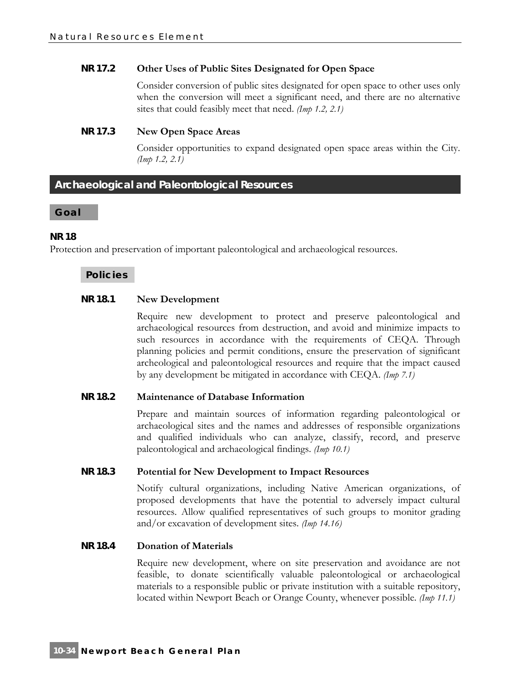# **NR 17.2 Other Uses of Public Sites Designated for Open Space**

Consider conversion of public sites designated for open space to other uses only when the conversion will meet a significant need, and there are no alternative sites that could feasibly meet that need. *(Imp 1.2, 2.1)*

#### **NR 17.3 New Open Space Areas**

Consider opportunities to expand designated open space areas within the City. *(Imp 1.2, 2.1)*

# **Archaeological and Paleontological Resources**

#### **Goal**

# **NR 18**

Protection and preservation of important paleontological and archaeological resources.

# **Policies**

# **NR 18.1 New Development**

Require new development to protect and preserve paleontological and archaeological resources from destruction, and avoid and minimize impacts to such resources in accordance with the requirements of CEQA. Through planning policies and permit conditions, ensure the preservation of significant archeological and paleontological resources and require that the impact caused by any development be mitigated in accordance with CEQA. *(Imp 7.1)*

#### **NR 18.2 Maintenance of Database Information**

Prepare and maintain sources of information regarding paleontological or archaeological sites and the names and addresses of responsible organizations and qualified individuals who can analyze, classify, record, and preserve paleontological and archaeological findings. *(Imp 10.1)*

#### **NR 18.3 Potential for New Development to Impact Resources**

Notify cultural organizations, including Native American organizations, of proposed developments that have the potential to adversely impact cultural resources. Allow qualified representatives of such groups to monitor grading and/or excavation of development sites. *(Imp 14.16)*

#### **NR 18.4 Donation of Materials**

Require new development, where on site preservation and avoidance are not feasible, to donate scientifically valuable paleontological or archaeological materials to a responsible public or private institution with a suitable repository, located within Newport Beach or Orange County, whenever possible. *(Imp 11.1)*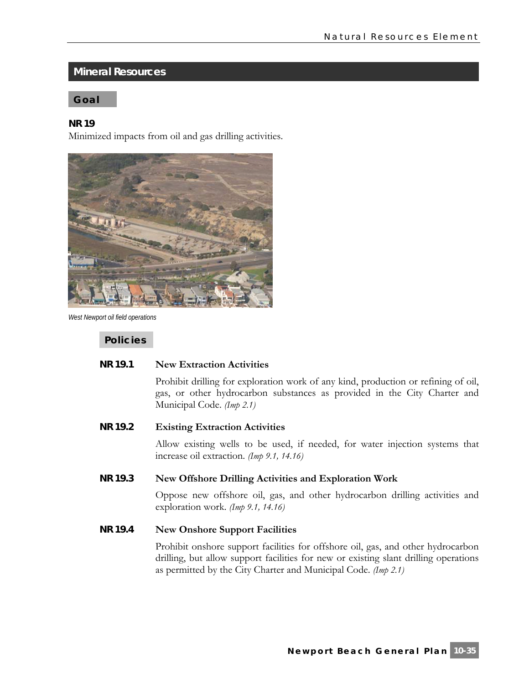# **Mineral Resources**

# **Goal**

#### **NR 19**

Minimized impacts from oil and gas drilling activities.



*West Newport oil field operations* 

**Policies** 

#### **NR 19.1 New Extraction Activities**

Prohibit drilling for exploration work of any kind, production or refining of oil, gas, or other hydrocarbon substances as provided in the City Charter and Municipal Code. *(Imp 2.1)*

# **NR 19.2 Existing Extraction Activities**

Allow existing wells to be used, if needed, for water injection systems that increase oil extraction. *(Imp 9.1, 14.16)*

#### **NR 19.3 New Offshore Drilling Activities and Exploration Work**

Oppose new offshore oil, gas, and other hydrocarbon drilling activities and exploration work. *(Imp 9.1, 14.16)*

# **NR 19.4 New Onshore Support Facilities**

Prohibit onshore support facilities for offshore oil, gas, and other hydrocarbon drilling, but allow support facilities for new or existing slant drilling operations as permitted by the City Charter and Municipal Code. *(Imp 2.1)*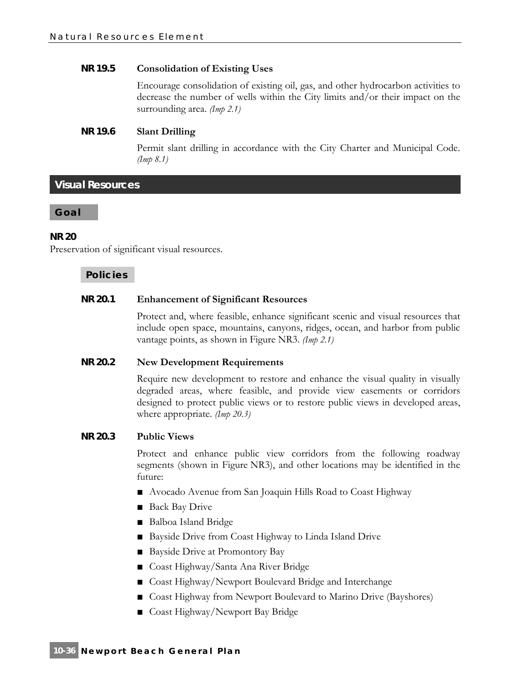# **NR 19.5 Consolidation of Existing Uses**

Encourage consolidation of existing oil, gas, and other hydrocarbon activities to decrease the number of wells within the City limits and/or their impact on the surrounding area. *(Imp 2.1)*

# **NR 19.6 Slant Drilling**

Permit slant drilling in accordance with the City Charter and Municipal Code. *(Imp 8.1)*

**Visual Resources** 

**Goal** 

# **NR 20**

Preservation of significant visual resources.

# **Policies**

# **NR 20.1 Enhancement of Significant Resources**

Protect and, where feasible, enhance significant scenic and visual resources that include open space, mountains, canyons, ridges, ocean, and harbor from public vantage points, as shown in Figure NR3. *(Imp 2.1)*

#### **NR 20.2 New Development Requirements**

Require new development to restore and enhance the visual quality in visually degraded areas, where feasible, and provide view easements or corridors designed to protect public views or to restore public views in developed areas, where appropriate. *(Imp 20.3)*

#### **NR 20.3 Public Views**

Protect and enhance public view corridors from the following roadway segments (shown in Figure NR3), and other locations may be identified in the future:

- **■** Avocado Avenue from San Joaquin Hills Road to Coast Highway
- Back Bay Drive
- **■** Balboa Island Bridge
- Bayside Drive from Coast Highway to Linda Island Drive
- Bayside Drive at Promontory Bay
- Coast Highway/Santa Ana River Bridge
- Coast Highway/Newport Boulevard Bridge and Interchange
- Coast Highway from Newport Boulevard to Marino Drive (Bayshores)
- Coast Highway/Newport Bay Bridge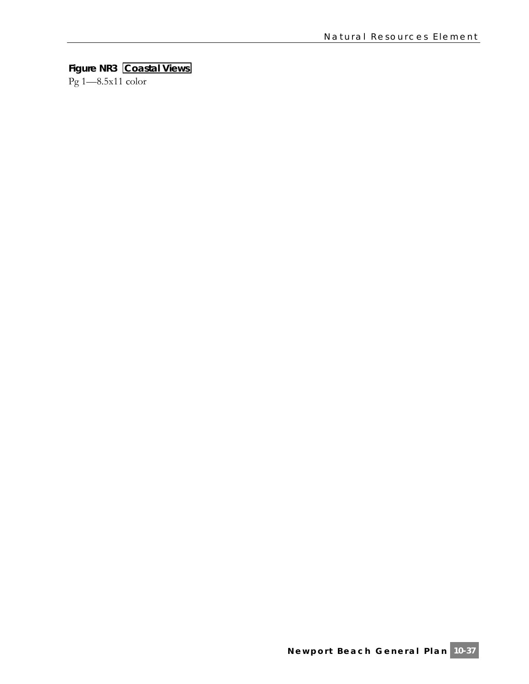# **Figure NR3 Coastal Views**

Pg 1—8.5x11 color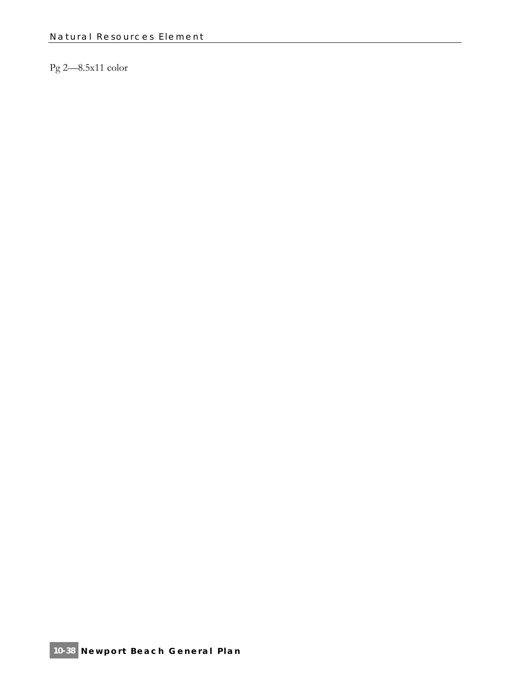# Pg 2—8.5x11 color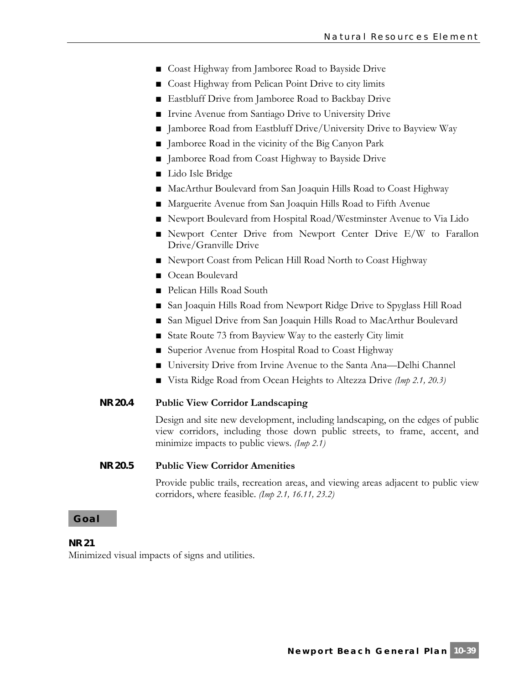- Coast Highway from Jamboree Road to Bayside Drive
- Coast Highway from Pelican Point Drive to city limits
- Eastbluff Drive from Jamboree Road to Backbay Drive
- Irvine Avenue from Santiago Drive to University Drive
- Jamboree Road from Eastbluff Drive/University Drive to Bayview Way
- Jamboree Road in the vicinity of the Big Canyon Park
- Jamboree Road from Coast Highway to Bayside Drive
- Lido Isle Bridge
- MacArthur Boulevard from San Joaquin Hills Road to Coast Highway
- Marguerite Avenue from San Joaquin Hills Road to Fifth Avenue
- Newport Boulevard from Hospital Road/Westminster Avenue to Via Lido
- Newport Center Drive from Newport Center Drive E/W to Farallon Drive/Granville Drive
- Newport Coast from Pelican Hill Road North to Coast Highway
- Ocean Boulevard
- Pelican Hills Road South
- San Joaquin Hills Road from Newport Ridge Drive to Spyglass Hill Road
- San Miguel Drive from San Joaquin Hills Road to MacArthur Boulevard
- State Route 73 from Bayview Way to the easterly City limit
- Superior Avenue from Hospital Road to Coast Highway
- University Drive from Irvine Avenue to the Santa Ana—Delhi Channel
- **■** Vista Ridge Road from Ocean Heights to Altezza Drive *(Imp 2.1, 20.3)*

#### **NR 20.4 Public View Corridor Landscaping**

Design and site new development, including landscaping, on the edges of public view corridors, including those down public streets, to frame, accent, and minimize impacts to public views. *(Imp 2.1)*

# **NR 20.5 Public View Corridor Amenities**

Provide public trails, recreation areas, and viewing areas adjacent to public view corridors, where feasible. *(Imp 2.1, 16.11, 23.2)*

#### **Goal**

#### **NR 21**

Minimized visual impacts of signs and utilities.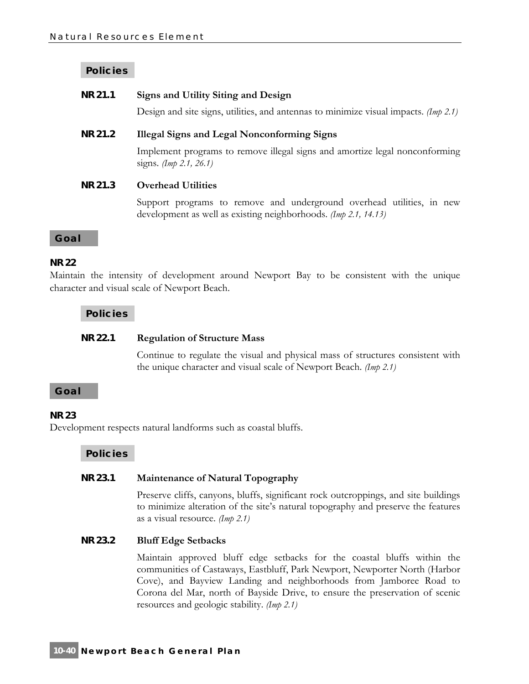# **Policies**

# **NR 21.1 Signs and Utility Siting and Design**

Design and site signs, utilities, and antennas to minimize visual impacts. *(Imp 2.1)*

#### **NR 21.2 Illegal Signs and Legal Nonconforming Signs**

Implement programs to remove illegal signs and amortize legal nonconforming signs. *(Imp 2.1, 26.1)*

#### **NR 21.3 Overhead Utilities**

Support programs to remove and underground overhead utilities, in new development as well as existing neighborhoods. *(Imp 2.1, 14.13)*

#### **Goal**

#### **NR 22**

Maintain the intensity of development around Newport Bay to be consistent with the unique character and visual scale of Newport Beach.

#### **Policies**

#### **NR 22.1 Regulation of Structure Mass**

Continue to regulate the visual and physical mass of structures consistent with the unique character and visual scale of Newport Beach. *(Imp 2.1)*

# **Goal**

#### **NR 23**

Development respects natural landforms such as coastal bluffs.

**Policies** 

#### **NR 23.1 Maintenance of Natural Topography**

Preserve cliffs, canyons, bluffs, significant rock outcroppings, and site buildings to minimize alteration of the site's natural topography and preserve the features as a visual resource. *(Imp 2.1)*

# **NR 23.2 Bluff Edge Setbacks**

Maintain approved bluff edge setbacks for the coastal bluffs within the communities of Castaways, Eastbluff, Park Newport, Newporter North (Harbor Cove), and Bayview Landing and neighborhoods from Jamboree Road to Corona del Mar, north of Bayside Drive, to ensure the preservation of scenic resources and geologic stability. *(Imp 2.1)*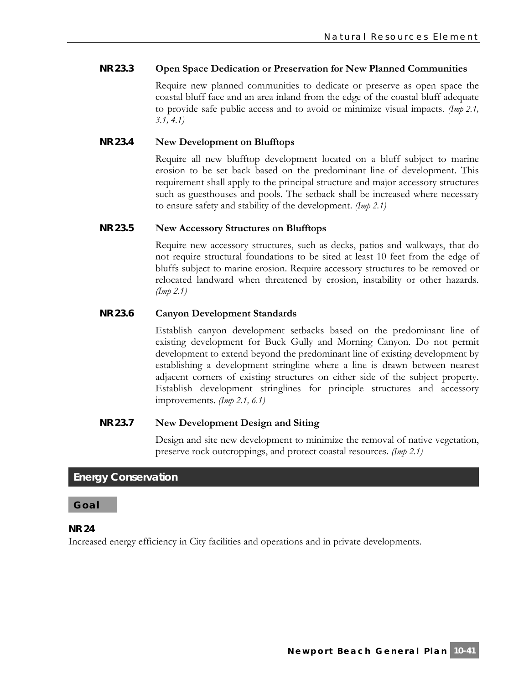# **NR 23.3 Open Space Dedication or Preservation for New Planned Communities**

Require new planned communities to dedicate or preserve as open space the coastal bluff face and an area inland from the edge of the coastal bluff adequate to provide safe public access and to avoid or minimize visual impacts. *(Imp 2.1, 3.1, 4.1)*

# **NR 23.4 New Development on Blufftops**

Require all new blufftop development located on a bluff subject to marine erosion to be set back based on the predominant line of development. This requirement shall apply to the principal structure and major accessory structures such as guesthouses and pools. The setback shall be increased where necessary to ensure safety and stability of the development. *(Imp 2.1)*

#### **NR 23.5 New Accessory Structures on Blufftops**

Require new accessory structures, such as decks, patios and walkways, that do not require structural foundations to be sited at least 10 feet from the edge of bluffs subject to marine erosion. Require accessory structures to be removed or relocated landward when threatened by erosion, instability or other hazards. *(Imp 2.1)*

# **NR 23.6 Canyon Development Standards**

Establish canyon development setbacks based on the predominant line of existing development for Buck Gully and Morning Canyon. Do not permit development to extend beyond the predominant line of existing development by establishing a development stringline where a line is drawn between nearest adjacent corners of existing structures on either side of the subject property. Establish development stringlines for principle structures and accessory improvements. *(Imp 2.1, 6.1)*

# **NR 23.7 New Development Design and Siting**

Design and site new development to minimize the removal of native vegetation, preserve rock outcroppings, and protect coastal resources. *(Imp 2.1)*

# **Energy Conservation**

#### **Goal**

#### **NR 24**

Increased energy efficiency in City facilities and operations and in private developments.